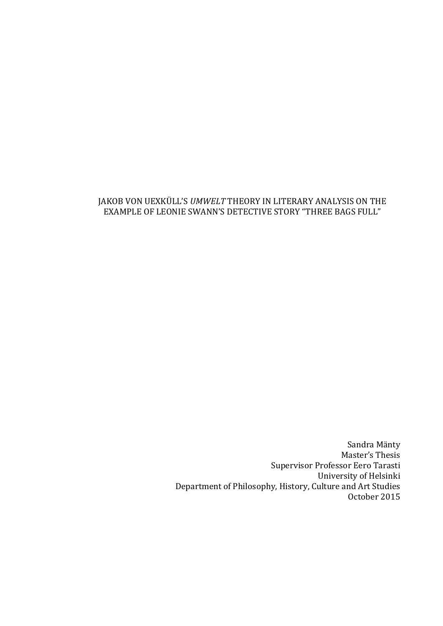### JAKOB VON UEXKÜLL'S *UMWELT* THEORY IN LITERARY ANALYSIS ON THE EXAMPLE OF LEONIE SWANN'S DETECTIVE STORY "THREE BAGS FULL"

Sandra Mänty Master's Thesis Supervisor Professor Eero Tarasti University of Helsinki Department of Philosophy, History, Culture and Art Studies October 2015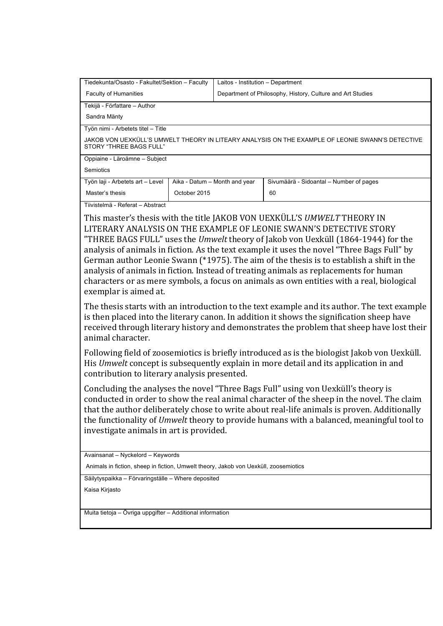| Tiedekunta/Osasto - Fakultet/Sektion - Faculty                                                                              |              | Laitos - Institution - Department                          |                                         |  |  |
|-----------------------------------------------------------------------------------------------------------------------------|--------------|------------------------------------------------------------|-----------------------------------------|--|--|
| <b>Faculty of Humanities</b>                                                                                                |              | Department of Philosophy, History, Culture and Art Studies |                                         |  |  |
| Tekijä - Författare – Author                                                                                                |              |                                                            |                                         |  |  |
| Sandra Mänty                                                                                                                |              |                                                            |                                         |  |  |
| Työn nimi - Arbetets titel - Title                                                                                          |              |                                                            |                                         |  |  |
| JAKOB VON UEXKÜLL'S UMWELT THEORY IN LITEARY ANALYSIS ON THE EXAMPLE OF LEONIE SWANN'S DETECTIVE<br>STORY "THREE BAGS FULL" |              |                                                            |                                         |  |  |
| Oppiaine - Läroämne – Subject                                                                                               |              |                                                            |                                         |  |  |
| Semiotics                                                                                                                   |              |                                                            |                                         |  |  |
| Työn laji - Arbetets art - Level                                                                                            |              | Aika - Datum - Month and year                              | Sivumäärä - Sidoantal – Number of pages |  |  |
| Master's thesis                                                                                                             | October 2015 |                                                            | 60                                      |  |  |
| Tiivistelmä - Referat - Abstract                                                                                            |              |                                                            |                                         |  |  |
| This master's thesis with the title IAKOB VON UEXKÜLL'S <i>UMWELT</i> THEORY IN                                             |              |                                                            |                                         |  |  |

This master's thesis with the title JAKOB VON UEXKÜLL'S *UMWELT* THEORY IN LITERARY ANALYSIS ON THE EXAMPLE OF LEONIE SWANN'S DETECTIVE STORY "THREE BAGS FULL" uses the *Umwelt* theory of Jakob von Uexküll (1864-1944) for the analysis of animals in fiction. As the text example it uses the novel "Three Bags Full" by German author Leonie Swann  $(*1975)$ . The aim of the thesis is to establish a shift in the analysis of animals in fiction. Instead of treating animals as replacements for human characters or as mere symbols, a focus on animals as own entities with a real, biological exemplar is aimed at.

The thesis starts with an introduction to the text example and its author. The text example is then placed into the literary canon. In addition it shows the signification sheep have received through literary history and demonstrates the problem that sheep have lost their animal character.

Following field of zoosemiotics is briefly introduced as is the biologist Jakob von Uexküll. His *Umwelt* concept is subsequently explain in more detail and its application in and contribution to literary analysis presented.

Concluding the analyses the novel "Three Bags Full" using von Uexküll's theory is conducted in order to show the real animal character of the sheep in the novel. The claim that the author deliberately chose to write about real-life animals is proven. Additionally the functionality of *Umwelt* theory to provide humans with a balanced, meaningful tool to investigate animals in art is provided.

Avainsanat – Nyckelord – Keywords

Animals in fiction, sheep in fiction, Umwelt theory, Jakob von Uexküll, zoosemiotics

Säilytyspaikka – Förvaringställe – Where deposited

Kaisa Kirjasto

Muita tietoja – Övriga uppgifter – Additional information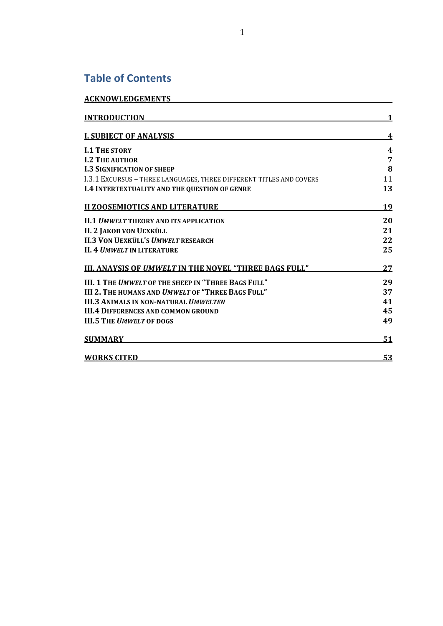# **Table of Contents**

| <b>ACKNOWLEDGEMENTS</b>                                             |    |
|---------------------------------------------------------------------|----|
| <b>INTRODUCTION</b>                                                 |    |
| <b>I. SUBJECT OF ANALYSIS</b>                                       | 4  |
| <b>I.1 THE STORY</b>                                                | 4  |
| <b>I.2 THE AUTHOR</b>                                               | 7  |
| <b>I.3 SIGNIFICATION OF SHEEP</b>                                   | 8  |
| I.3.1 EXCURSUS - THREE LANGUAGES, THREE DIFFERENT TITLES AND COVERS | 11 |
| <b>I.4 INTERTEXTUALITY AND THE QUESTION OF GENRE</b>                | 13 |
| <b>II ZOOSEMIOTICS AND LITERATURE</b>                               | 19 |
| <b>II.1 UMWELT THEORY AND ITS APPLICATION</b>                       | 20 |
| <b>II. 2 JAKOB VON UEXKÜLL</b>                                      | 21 |
| <b>II.3 VON UEXKÜLL'S UMWELT RESEARCH</b>                           | 22 |
| <b>II. 4 UMWELT IN LITERATURE</b>                                   | 25 |
| <b>III. ANAYSIS OF UMWELT IN THE NOVEL "THREE BAGS FULL"</b>        | 27 |
| III. 1 THE UMWELT OF THE SHEEP IN "THREE BAGS FULL"                 | 29 |
| <b>III 2. THE HUMANS AND UMWELT OF "THREE BAGS FULL"</b>            | 37 |
| <b>III.3 ANIMALS IN NON-NATURAL <i>UMWELTEN</i></b>                 | 41 |
| <b>III.4 DIFFERENCES AND COMMON GROUND</b>                          | 45 |
| <b>III.5 THE UMWELT OF DOGS</b>                                     | 49 |
| <b>SUMMARY</b>                                                      | 51 |
| <b>WORKS CITED</b>                                                  | 53 |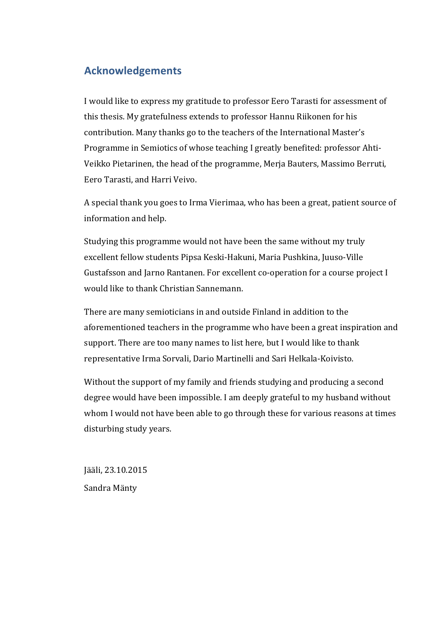# **Acknowledgements**

I would like to express my gratitude to professor Eero Tarasti for assessment of this thesis. My gratefulness extends to professor Hannu Riikonen for his contribution. Many thanks go to the teachers of the International Master's Programme in Semiotics of whose teaching I greatly benefited: professor Ahti-Veikko Pietarinen, the head of the programme, Merja Bauters, Massimo Berruti, Eero Tarasti, and Harri Veivo.

A special thank you goes to Irma Vierimaa, who has been a great, patient source of information and help.

Studying this programme would not have been the same without my truly excellent fellow students Pipsa Keski-Hakuni, Maria Pushkina, Juuso-Ville Gustafsson and Jarno Rantanen. For excellent co-operation for a course project I would like to thank Christian Sannemann.

There are many semioticians in and outside Finland in addition to the aforementioned teachers in the programme who have been a great inspiration and support. There are too many names to list here, but I would like to thank representative Irma Sorvali, Dario Martinelli and Sari Helkala-Koivisto.

Without the support of my family and friends studying and producing a second degree would have been impossible. I am deeply grateful to my husband without whom I would not have been able to go through these for various reasons at times disturbing study years.

Jääli, 23.10.2015 Sandra Mänty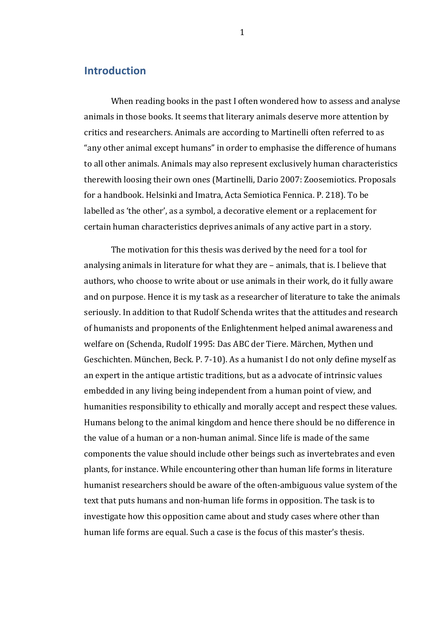# **Introduction**

When reading books in the past I often wondered how to assess and analyse animals in those books. It seems that literary animals deserve more attention by critics and researchers. Animals are according to Martinelli often referred to as "any other animal except humans" in order to emphasise the difference of humans to all other animals. Animals may also represent exclusively human characteristics therewith loosing their own ones (Martinelli, Dario 2007: Zoosemiotics. Proposals for a handbook. Helsinki and Imatra, Acta Semiotica Fennica. P. 218). To be labelled as 'the other', as a symbol, a decorative element or a replacement for certain human characteristics deprives animals of any active part in a story.

The motivation for this thesis was derived by the need for a tool for analysing animals in literature for what they are  $-$  animals, that is. I believe that authors, who choose to write about or use animals in their work, do it fully aware and on purpose. Hence it is my task as a researcher of literature to take the animals seriously. In addition to that Rudolf Schenda writes that the attitudes and research of humanists and proponents of the Enlightenment helped animal awareness and welfare on (Schenda, Rudolf 1995: Das ABC der Tiere. Märchen, Mythen und Geschichten. München, Beck. P. 7-10). As a humanist I do not only define myself as an expert in the antique artistic traditions, but as a advocate of intrinsic values embedded in any living being independent from a human point of view, and humanities responsibility to ethically and morally accept and respect these values. Humans belong to the animal kingdom and hence there should be no difference in the value of a human or a non-human animal. Since life is made of the same components the value should include other beings such as invertebrates and even plants, for instance. While encountering other than human life forms in literature humanist researchers should be aware of the often-ambiguous value system of the text that puts humans and non-human life forms in opposition. The task is to investigate how this opposition came about and study cases where other than human life forms are equal. Such a case is the focus of this master's thesis.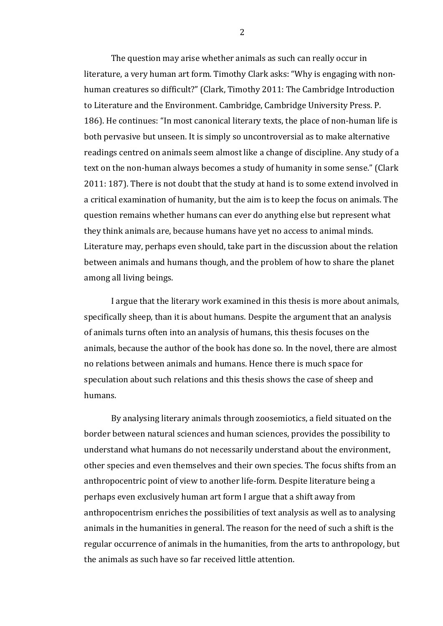The question may arise whether animals as such can really occur in literature, a very human art form. Timothy Clark asks: "Why is engaging with nonhuman creatures so difficult?" (Clark, Timothy 2011: The Cambridge Introduction to Literature and the Environment. Cambridge, Cambridge University Press. P. 186). He continues: "In most canonical literary texts, the place of non-human life is both pervasive but unseen. It is simply so uncontroversial as to make alternative readings centred on animals seem almost like a change of discipline. Any study of a text on the non-human always becomes a study of humanity in some sense." (Clark 2011: 187). There is not doubt that the study at hand is to some extend involved in a critical examination of humanity, but the aim is to keep the focus on animals. The question remains whether humans can ever do anything else but represent what they think animals are, because humans have yet no access to animal minds. Literature may, perhaps even should, take part in the discussion about the relation between animals and humans though, and the problem of how to share the planet among all living beings.

I argue that the literary work examined in this thesis is more about animals, specifically sheep, than it is about humans. Despite the argument that an analysis of animals turns often into an analysis of humans, this thesis focuses on the animals, because the author of the book has done so. In the novel, there are almost no relations between animals and humans. Hence there is much space for speculation about such relations and this thesis shows the case of sheep and humans. 

By analysing literary animals through zoosemiotics, a field situated on the border between natural sciences and human sciences, provides the possibility to understand what humans do not necessarily understand about the environment, other species and even themselves and their own species. The focus shifts from an anthropocentric point of view to another life-form. Despite literature being a perhaps even exclusively human art form I argue that a shift away from anthropocentrism enriches the possibilities of text analysis as well as to analysing animals in the humanities in general. The reason for the need of such a shift is the regular occurrence of animals in the humanities, from the arts to anthropology, but the animals as such have so far received little attention.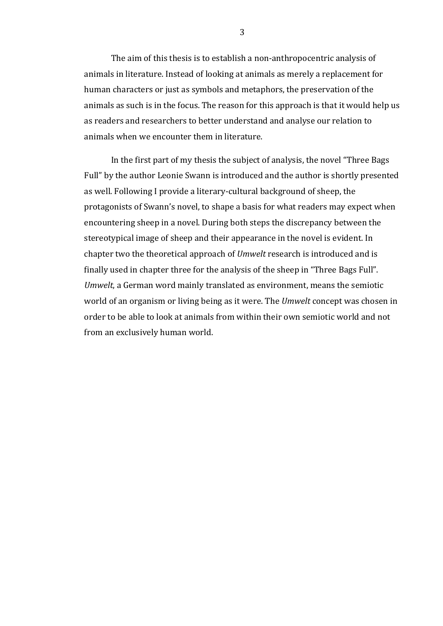The aim of this thesis is to establish a non-anthropocentric analysis of animals in literature. Instead of looking at animals as merely a replacement for human characters or just as symbols and metaphors, the preservation of the animals as such is in the focus. The reason for this approach is that it would help us as readers and researchers to better understand and analyse our relation to animals when we encounter them in literature.

In the first part of my thesis the subject of analysis, the novel "Three Bags" Full" by the author Leonie Swann is introduced and the author is shortly presented as well. Following I provide a literary-cultural background of sheep, the protagonists of Swann's novel, to shape a basis for what readers may expect when encountering sheep in a novel. During both steps the discrepancy between the stereotypical image of sheep and their appearance in the novel is evident. In chapter two the theoretical approach of *Umwelt* research is introduced and is finally used in chapter three for the analysis of the sheep in "Three Bags Full". *Umwelt*, a German word mainly translated as environment, means the semiotic world of an organism or living being as it were. The *Umwelt* concept was chosen in order to be able to look at animals from within their own semiotic world and not from an exclusively human world.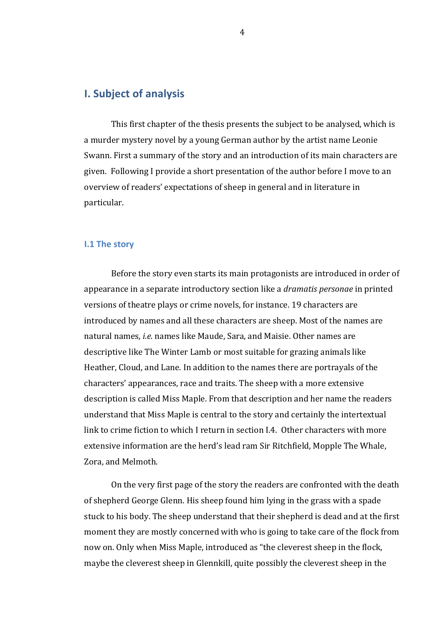# **I. Subject of analysis**

This first chapter of the thesis presents the subject to be analysed, which is a murder mystery novel by a young German author by the artist name Leonie Swann. First a summary of the story and an introduction of its main characters are given. Following I provide a short presentation of the author before I move to an overview of readers' expectations of sheep in general and in literature in particular. 

#### **I.1 The story**

Before the story even starts its main protagonists are introduced in order of appearance in a separate introductory section like a *dramatis personae* in printed versions of theatre plays or crime novels, for instance. 19 characters are introduced by names and all these characters are sheep. Most of the names are natural names, *i.e.* names like Maude, Sara, and Maisie. Other names are descriptive like The Winter Lamb or most suitable for grazing animals like Heather, Cloud, and Lane. In addition to the names there are portrayals of the characters' appearances, race and traits. The sheep with a more extensive description is called Miss Maple. From that description and her name the readers understand that Miss Maple is central to the story and certainly the intertextual link to crime fiction to which I return in section I.4. Other characters with more extensive information are the herd's lead ram Sir Ritchfield, Mopple The Whale, Zora, and Melmoth.

On the very first page of the story the readers are confronted with the death of shepherd George Glenn. His sheep found him lying in the grass with a spade stuck to his body. The sheep understand that their shepherd is dead and at the first moment they are mostly concerned with who is going to take care of the flock from now on. Only when Miss Maple, introduced as "the cleverest sheep in the flock, maybe the cleverest sheep in Glennkill, quite possibly the cleverest sheep in the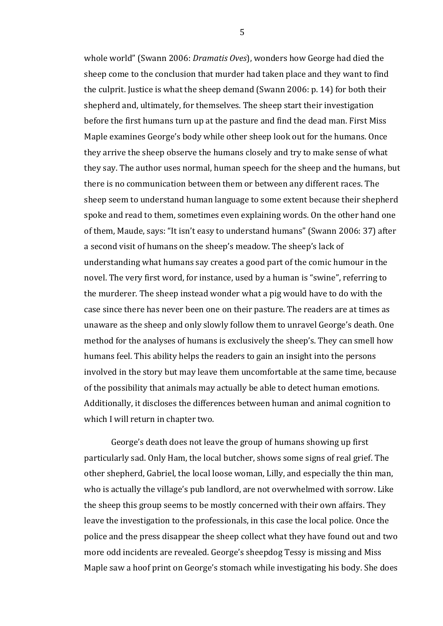whole world" (Swann 2006: *Dramatis Oves*), wonders how George had died the sheep come to the conclusion that murder had taken place and they want to find the culprit. Justice is what the sheep demand (Swann 2006: p. 14) for both their shepherd and, ultimately, for themselves. The sheep start their investigation before the first humans turn up at the pasture and find the dead man. First Miss Maple examines George's body while other sheep look out for the humans. Once they arrive the sheep observe the humans closely and try to make sense of what they say. The author uses normal, human speech for the sheep and the humans, but there is no communication between them or between any different races. The sheep seem to understand human language to some extent because their shepherd spoke and read to them, sometimes even explaining words. On the other hand one of them, Maude, says: "It isn't easy to understand humans" (Swann 2006: 37) after a second visit of humans on the sheep's meadow. The sheep's lack of understanding what humans say creates a good part of the comic humour in the novel. The very first word, for instance, used by a human is "swine", referring to the murderer. The sheep instead wonder what a pig would have to do with the case since there has never been one on their pasture. The readers are at times as unaware as the sheep and only slowly follow them to unravel George's death. One method for the analyses of humans is exclusively the sheep's. They can smell how humans feel. This ability helps the readers to gain an insight into the persons involved in the story but may leave them uncomfortable at the same time, because of the possibility that animals may actually be able to detect human emotions. Additionally, it discloses the differences between human and animal cognition to which I will return in chapter two.

George's death does not leave the group of humans showing up first particularly sad. Only Ham, the local butcher, shows some signs of real grief. The other shepherd, Gabriel, the local loose woman, Lilly, and especially the thin man, who is actually the village's pub landlord, are not overwhelmed with sorrow. Like the sheep this group seems to be mostly concerned with their own affairs. They leave the investigation to the professionals, in this case the local police. Once the police and the press disappear the sheep collect what they have found out and two more odd incidents are revealed. George's sheepdog Tessy is missing and Miss Maple saw a hoof print on George's stomach while investigating his body. She does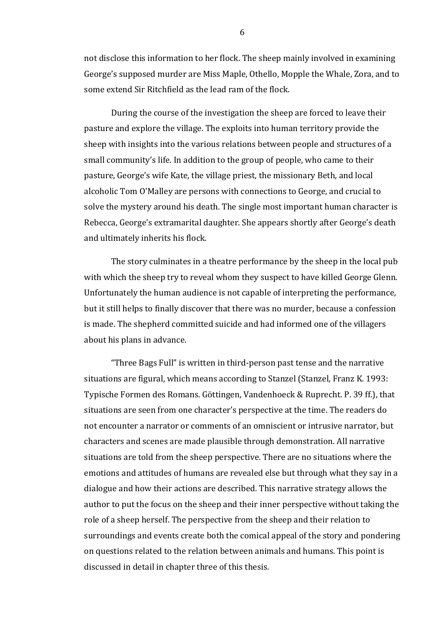not disclose this information to her flock. The sheep mainly involved in examining George's supposed murder are Miss Maple, Othello, Mopple the Whale, Zora, and to some extend Sir Ritchfield as the lead ram of the flock.

During the course of the investigation the sheep are forced to leave their pasture and explore the village. The exploits into human territory provide the sheep with insights into the various relations between people and structures of a small community's life. In addition to the group of people, who came to their pasture, George's wife Kate, the village priest, the missionary Beth, and local alcoholic Tom O'Malley are persons with connections to George, and crucial to solve the mystery around his death. The single most important human character is Rebecca, George's extramarital daughter. She appears shortly after George's death and ultimately inherits his flock.

The story culminates in a theatre performance by the sheep in the local pub with which the sheep try to reveal whom they suspect to have killed George Glenn. Unfortunately the human audience is not capable of interpreting the performance, but it still helps to finally discover that there was no murder, because a confession is made. The shepherd committed suicide and had informed one of the villagers about his plans in advance.

"Three Bags Full" is written in third-person past tense and the narrative situations are figural, which means according to Stanzel (Stanzel, Franz K. 1993: Typische Formen des Romans. Göttingen, Vandenhoeck & Ruprecht. P. 39 ff.), that situations are seen from one character's perspective at the time. The readers do not encounter a narrator or comments of an omniscient or intrusive narrator, but characters and scenes are made plausible through demonstration. All narrative situations are told from the sheep perspective. There are no situations where the emotions and attitudes of humans are revealed else but through what they say in a dialogue and how their actions are described. This narrative strategy allows the author to put the focus on the sheep and their inner perspective without taking the role of a sheep herself. The perspective from the sheep and their relation to surroundings and events create both the comical appeal of the story and pondering on questions related to the relation between animals and humans. This point is discussed in detail in chapter three of this thesis.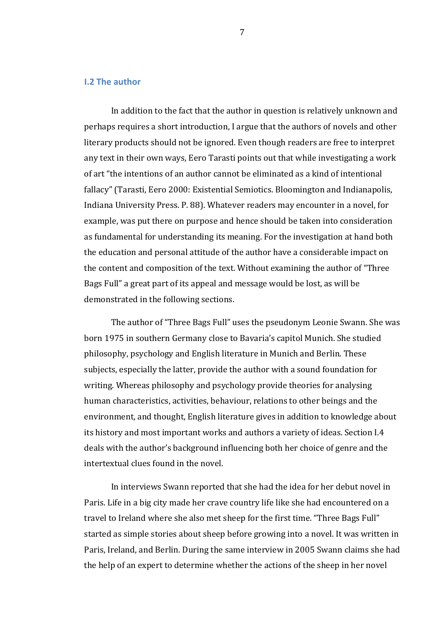### **I.2** The author

In addition to the fact that the author in question is relatively unknown and perhaps requires a short introduction, I argue that the authors of novels and other literary products should not be ignored. Even though readers are free to interpret any text in their own ways, Eero Tarasti points out that while investigating a work of art "the intentions of an author cannot be eliminated as a kind of intentional fallacy" (Tarasti, Eero 2000: Existential Semiotics. Bloomington and Indianapolis, Indiana University Press. P. 88). Whatever readers may encounter in a novel, for example, was put there on purpose and hence should be taken into consideration as fundamental for understanding its meaning. For the investigation at hand both the education and personal attitude of the author have a considerable impact on the content and composition of the text. Without examining the author of "Three Bags Full" a great part of its appeal and message would be lost, as will be demonstrated in the following sections.

The author of "Three Bags Full" uses the pseudonym Leonie Swann. She was born 1975 in southern Germany close to Bavaria's capitol Munich. She studied philosophy, psychology and English literature in Munich and Berlin. These subjects, especially the latter, provide the author with a sound foundation for writing. Whereas philosophy and psychology provide theories for analysing human characteristics, activities, behaviour, relations to other beings and the environment, and thought, English literature gives in addition to knowledge about its history and most important works and authors a variety of ideas. Section I.4 deals with the author's background influencing both her choice of genre and the intertextual clues found in the novel.

In interviews Swann reported that she had the idea for her debut novel in Paris. Life in a big city made her crave country life like she had encountered on a travel to Ireland where she also met sheep for the first time. "Three Bags Full" started as simple stories about sheep before growing into a novel. It was written in Paris, Ireland, and Berlin. During the same interview in 2005 Swann claims she had the help of an expert to determine whether the actions of the sheep in her novel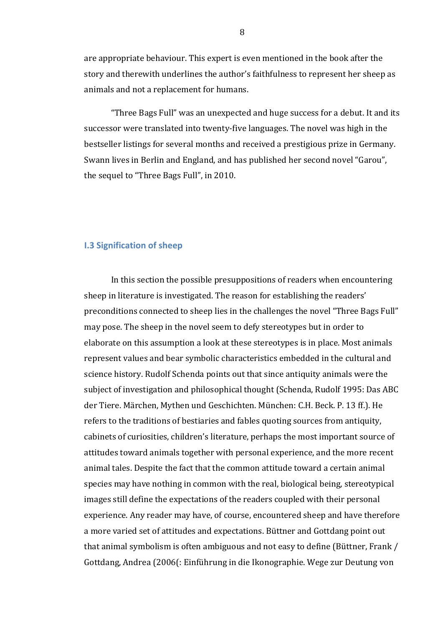are appropriate behaviour. This expert is even mentioned in the book after the story and therewith underlines the author's faithfulness to represent her sheep as animals and not a replacement for humans.

"Three Bags Full" was an unexpected and huge success for a debut. It and its successor were translated into twenty-five languages. The novel was high in the bestseller listings for several months and received a prestigious prize in Germany. Swann lives in Berlin and England, and has published her second novel "Garou", the sequel to "Three Bags Full", in 2010.

## **I.3 Signification of sheep**

In this section the possible presuppositions of readers when encountering sheep in literature is investigated. The reason for establishing the readers' preconditions connected to sheep lies in the challenges the novel "Three Bags Full" may pose. The sheep in the novel seem to defy stereotypes but in order to elaborate on this assumption a look at these stereotypes is in place. Most animals represent values and bear symbolic characteristics embedded in the cultural and science history. Rudolf Schenda points out that since antiquity animals were the subject of investigation and philosophical thought (Schenda, Rudolf 1995: Das ABC der Tiere. Märchen, Mythen und Geschichten. München: C.H. Beck. P. 13 ff.). He refers to the traditions of bestiaries and fables quoting sources from antiquity, cabinets of curiosities, children's literature, perhaps the most important source of attitudes toward animals together with personal experience, and the more recent animal tales. Despite the fact that the common attitude toward a certain animal species may have nothing in common with the real, biological being, stereotypical images still define the expectations of the readers coupled with their personal experience. Any reader may have, of course, encountered sheep and have therefore a more varied set of attitudes and expectations. Büttner and Gottdang point out that animal symbolism is often ambiguous and not easy to define (Büttner, Frank / Gottdang, Andrea (2006(: Einführung in die Ikonographie. Wege zur Deutung von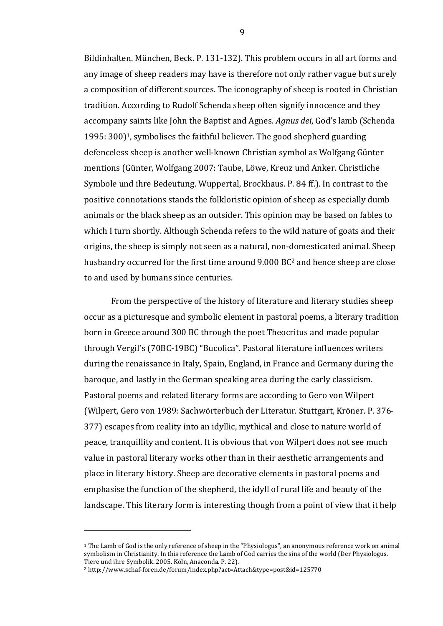Bildinhalten. München, Beck. P. 131-132). This problem occurs in all art forms and any image of sheep readers may have is therefore not only rather vague but surely a composition of different sources. The iconography of sheep is rooted in Christian tradition. According to Rudolf Schenda sheep often signify innocence and they accompany saints like John the Baptist and Agnes. *Agnus dei*, God's lamb (Schenda 1995:  $300$ <sup>1</sup>, symbolises the faithful believer. The good shepherd guarding defenceless sheep is another well-known Christian symbol as Wolfgang Günter mentions (Günter, Wolfgang 2007: Taube, Löwe, Kreuz und Anker. Christliche Symbole und ihre Bedeutung. Wuppertal, Brockhaus. P. 84 ff.). In contrast to the positive connotations stands the folkloristic opinion of sheep as especially dumb animals or the black sheep as an outsider. This opinion may be based on fables to which I turn shortly. Although Schenda refers to the wild nature of goats and their origins, the sheep is simply not seen as a natural, non-domesticated animal. Sheep husbandry occurred for the first time around 9.000 BC<sup>2</sup> and hence sheep are close to and used by humans since centuries.

From the perspective of the history of literature and literary studies sheep occur as a picturesque and symbolic element in pastoral poems, a literary tradition born in Greece around 300 BC through the poet Theocritus and made popular through Vergil's (70BC-19BC) "Bucolica". Pastoral literature influences writers during the renaissance in Italy, Spain, England, in France and Germany during the baroque, and lastly in the German speaking area during the early classicism. Pastoral poems and related literary forms are according to Gero von Wilpert (Wilpert, Gero von 1989: Sachwörterbuch der Literatur. Stuttgart, Kröner. P. 376-377) escapes from reality into an idyllic, mythical and close to nature world of peace, tranquillity and content. It is obvious that von Wilpert does not see much value in pastoral literary works other than in their aesthetic arrangements and place in literary history. Sheep are decorative elements in pastoral poems and emphasise the function of the shepherd, the idyll of rural life and beauty of the landscape. This literary form is interesting though from a point of view that it help

 

<sup>&</sup>lt;sup>1</sup> The Lamb of God is the only reference of sheep in the "Physiologus", an anonymous reference work on animal symbolism in Christianity. In this reference the Lamb of God carries the sins of the world (Der Physiologus. Tiere und ihre Symbolik. 2005. Köln, Anaconda. P. 22).

<sup>2</sup> http://www.schaf-foren.de/forum/index.php?act=Attach&type=post&id=125770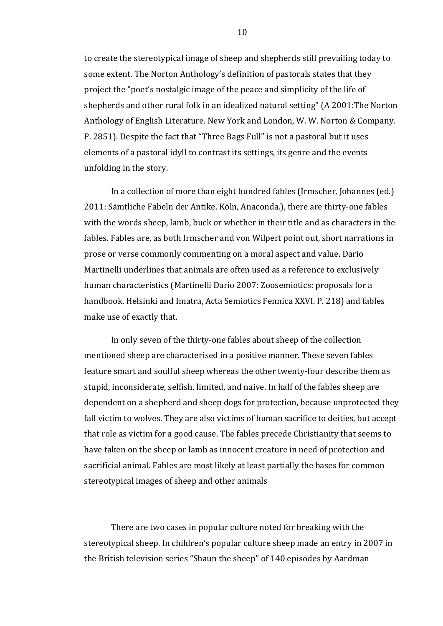to create the stereotypical image of sheep and shepherds still prevailing today to some extent. The Norton Anthology's definition of pastorals states that they project the "poet's nostalgic image of the peace and simplicity of the life of shepherds and other rural folk in an idealized natural setting" (A 2001:The Norton Anthology of English Literature. New York and London, W. W. Norton & Company. P. 2851). Despite the fact that "Three Bags Full" is not a pastoral but it uses elements of a pastoral idyll to contrast its settings, its genre and the events unfolding in the story.

In a collection of more than eight hundred fables (Irmscher, Johannes (ed.) 2011: Sämtliche Fabeln der Antike. Köln, Anaconda.), there are thirty-one fables with the words sheep, lamb, buck or whether in their title and as characters in the fables. Fables are, as both Irmscher and von Wilpert point out, short narrations in prose or verse commonly commenting on a moral aspect and value. Dario Martinelli underlines that animals are often used as a reference to exclusively human characteristics (Martinelli Dario 2007: Zoosemiotics: proposals for a handbook. Helsinki and Imatra, Acta Semiotics Fennica XXVI. P. 218) and fables make use of exactly that.

In only seven of the thirty-one fables about sheep of the collection mentioned sheep are characterised in a positive manner. These seven fables feature smart and soulful sheep whereas the other twenty-four describe them as stupid, inconsiderate, selfish, limited, and naive. In half of the fables sheep are dependent on a shepherd and sheep dogs for protection, because unprotected they fall victim to wolves. They are also victims of human sacrifice to deities, but accept that role as victim for a good cause. The fables precede Christianity that seems to have taken on the sheep or lamb as innocent creature in need of protection and sacrificial animal. Fables are most likely at least partially the bases for common stereotypical images of sheep and other animals

There are two cases in popular culture noted for breaking with the stereotypical sheep. In children's popular culture sheep made an entry in 2007 in the British television series "Shaun the sheep" of 140 episodes by Aardman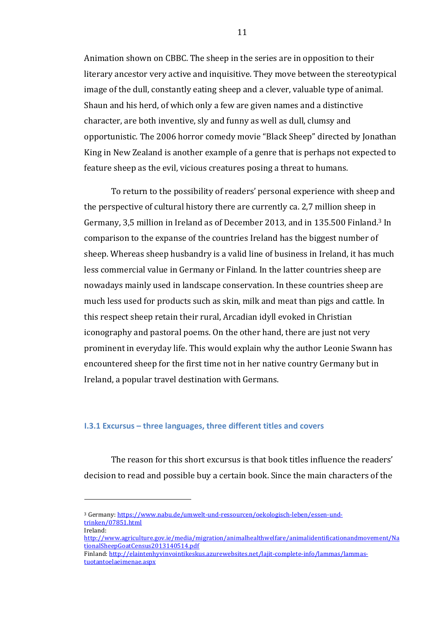Animation shown on CBBC. The sheep in the series are in opposition to their literary ancestor very active and inquisitive. They move between the stereotypical image of the dull, constantly eating sheep and a clever, valuable type of animal. Shaun and his herd, of which only a few are given names and a distinctive character, are both inventive, sly and funny as well as dull, clumsy and opportunistic. The 2006 horror comedy movie "Black Sheep" directed by Jonathan King in New Zealand is another example of a genre that is perhaps not expected to feature sheep as the evil, vicious creatures posing a threat to humans.

To return to the possibility of readers' personal experience with sheep and the perspective of cultural history there are currently ca. 2,7 million sheep in Germany, 3,5 million in Ireland as of December 2013, and in 135.500 Finland.<sup>3</sup> In comparison to the expanse of the countries Ireland has the biggest number of sheep. Whereas sheep husbandry is a valid line of business in Ireland, it has much less commercial value in Germany or Finland. In the latter countries sheep are nowadays mainly used in landscape conservation. In these countries sheep are much less used for products such as skin, milk and meat than pigs and cattle. In this respect sheep retain their rural, Arcadian idyll evoked in Christian iconography and pastoral poems. On the other hand, there are just not very prominent in everyday life. This would explain why the author Leonie Swann has encountered sheep for the first time not in her native country Germany but in Ireland, a popular travel destination with Germans.

#### **I.3.1 Excursus – three languages, three different titles and covers**

The reason for this short excursus is that book titles influence the readers' decision to read and possible buy a certain book. Since the main characters of the

Ireland: 

 

<sup>&</sup>lt;sup>3</sup> Germany: https://www.nabu.de/umwelt-und-ressourcen/oekologisch-leben/essen-undtrinken/07851.html

http://www.agriculture.gov.ie/media/migration/animalhealthwelfare/animalidentificationandmovement/Na tionalSheepGoatCensus2013140514.pdf

Finland: http://elaintenhyvinvointikeskus.azurewebsites.net/lajit-complete-info/lammas/lammastuotantoelaeimenae.aspx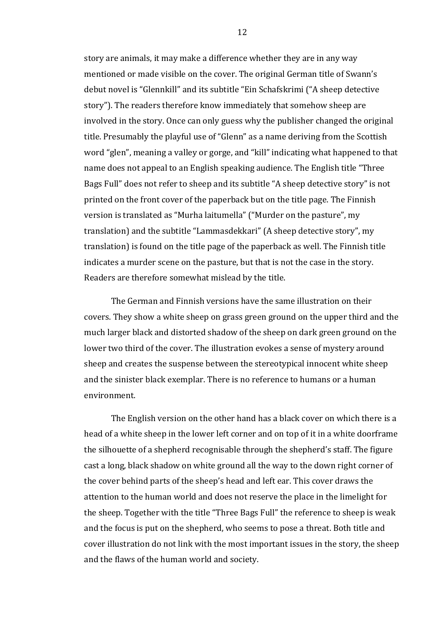story are animals, it may make a difference whether they are in any way mentioned or made visible on the cover. The original German title of Swann's debut novel is "Glennkill" and its subtitle "Ein Schafskrimi ("A sheep detective story"). The readers therefore know immediately that somehow sheep are involved in the story. Once can only guess why the publisher changed the original title. Presumably the playful use of "Glenn" as a name deriving from the Scottish word "glen", meaning a valley or gorge, and "kill" indicating what happened to that name does not appeal to an English speaking audience. The English title "Three Bags Full" does not refer to sheep and its subtitle "A sheep detective story" is not printed on the front cover of the paperback but on the title page. The Finnish version is translated as "Murha laitumella" ("Murder on the pasture", my translation) and the subtitle "Lammasdekkari" (A sheep detective story", my translation) is found on the title page of the paperback as well. The Finnish title indicates a murder scene on the pasture, but that is not the case in the story. Readers are therefore somewhat mislead by the title.

The German and Finnish versions have the same illustration on their covers. They show a white sheep on grass green ground on the upper third and the much larger black and distorted shadow of the sheep on dark green ground on the lower two third of the cover. The illustration evokes a sense of mystery around sheep and creates the suspense between the stereotypical innocent white sheep and the sinister black exemplar. There is no reference to humans or a human environment.

The English version on the other hand has a black cover on which there is a head of a white sheep in the lower left corner and on top of it in a white doorframe the silhouette of a shepherd recognisable through the shepherd's staff. The figure cast a long, black shadow on white ground all the way to the down right corner of the cover behind parts of the sheep's head and left ear. This cover draws the attention to the human world and does not reserve the place in the limelight for the sheep. Together with the title "Three Bags Full" the reference to sheep is weak and the focus is put on the shepherd, who seems to pose a threat. Both title and cover illustration do not link with the most important issues in the story, the sheep and the flaws of the human world and society.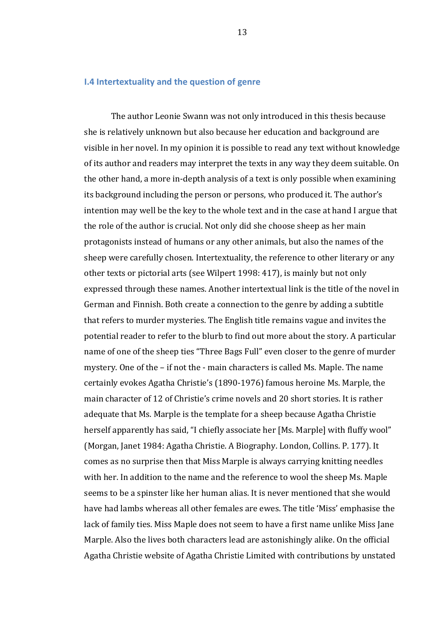#### **I.4 Intertextuality and the question of genre**

The author Leonie Swann was not only introduced in this thesis because she is relatively unknown but also because her education and background are visible in her novel. In my opinion it is possible to read any text without knowledge of its author and readers may interpret the texts in any way they deem suitable. On the other hand, a more in-depth analysis of a text is only possible when examining its background including the person or persons, who produced it. The author's intention may well be the key to the whole text and in the case at hand I argue that the role of the author is crucial. Not only did she choose sheep as her main protagonists instead of humans or any other animals, but also the names of the sheep were carefully chosen. Intertextuality, the reference to other literary or any other texts or pictorial arts (see Wilpert 1998: 417), is mainly but not only expressed through these names. Another intertextual link is the title of the novel in German and Finnish. Both create a connection to the genre by adding a subtitle that refers to murder mysteries. The English title remains vague and invites the potential reader to refer to the blurb to find out more about the story. A particular name of one of the sheep ties "Three Bags Full" even closer to the genre of murder mystery. One of the  $-$  if not the  $-$  main characters is called Ms. Maple. The name certainly evokes Agatha Christie's (1890-1976) famous heroine Ms. Marple, the main character of 12 of Christie's crime novels and 20 short stories. It is rather adequate that Ms. Marple is the template for a sheep because Agatha Christie herself apparently has said, "I chiefly associate her [Ms. Marple] with fluffy wool" (Morgan, Janet 1984: Agatha Christie. A Biography. London, Collins. P. 177). It comes as no surprise then that Miss Marple is always carrying knitting needles with her. In addition to the name and the reference to wool the sheep Ms. Maple seems to be a spinster like her human alias. It is never mentioned that she would have had lambs whereas all other females are ewes. The title 'Miss' emphasise the lack of family ties. Miss Maple does not seem to have a first name unlike Miss Jane Marple. Also the lives both characters lead are astonishingly alike. On the official Agatha Christie website of Agatha Christie Limited with contributions by unstated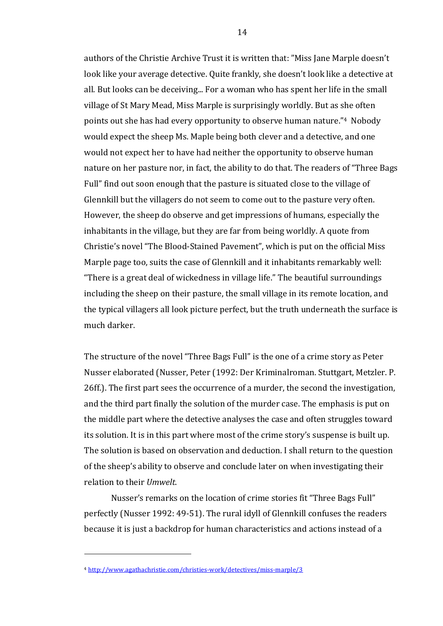authors of the Christie Archive Trust it is written that: "Miss Jane Marple doesn't look like your average detective. Quite frankly, she doesn't look like a detective at all. But looks can be deceiving... For a woman who has spent her life in the small village of St Mary Mead, Miss Marple is surprisingly worldly. But as she often points out she has had every opportunity to observe human nature."<sup>4</sup> Nobody would expect the sheep Ms. Maple being both clever and a detective, and one would not expect her to have had neither the opportunity to observe human nature on her pasture nor, in fact, the ability to do that. The readers of "Three Bags Full" find out soon enough that the pasture is situated close to the village of Glennkill but the villagers do not seem to come out to the pasture very often. However, the sheep do observe and get impressions of humans, especially the inhabitants in the village, but they are far from being worldly. A quote from Christie's novel "The Blood-Stained Pavement", which is put on the official Miss Marple page too, suits the case of Glennkill and it inhabitants remarkably well: "There is a great deal of wickedness in village life." The beautiful surroundings including the sheep on their pasture, the small village in its remote location, and the typical villagers all look picture perfect, but the truth underneath the surface is much darker.

The structure of the novel "Three Bags Full" is the one of a crime story as Peter Nusser elaborated (Nusser, Peter (1992: Der Kriminalroman. Stuttgart, Metzler. P. 26ff.). The first part sees the occurrence of a murder, the second the investigation, and the third part finally the solution of the murder case. The emphasis is put on the middle part where the detective analyses the case and often struggles toward its solution. It is in this part where most of the crime story's suspense is built up. The solution is based on observation and deduction. I shall return to the question of the sheep's ability to observe and conclude later on when investigating their relation to their *Umwelt*.

Nusser's remarks on the location of crime stories fit "Three Bags Full" perfectly (Nusser 1992: 49-51). The rural idyll of Glennkill confuses the readers because it is just a backdrop for human characteristics and actions instead of a

 

<sup>4</sup> http://www.agathachristie.com/christies-work/detectives/miss-marple/3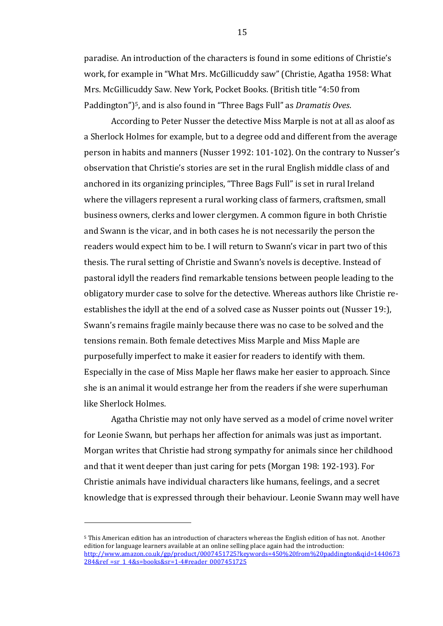paradise. An introduction of the characters is found in some editions of Christie's work, for example in "What Mrs. McGillicuddy saw" (Christie, Agatha 1958: What Mrs. McGillicuddy Saw. New York, Pocket Books. (British title "4:50 from Paddington")<sup>5</sup>, and is also found in "Three Bags Full" as *Dramatis Oves*.

According to Peter Nusser the detective Miss Marple is not at all as aloof as a Sherlock Holmes for example, but to a degree odd and different from the average person in habits and manners (Nusser 1992: 101-102). On the contrary to Nusser's observation that Christie's stories are set in the rural English middle class of and anchored in its organizing principles, "Three Bags Full" is set in rural Ireland where the villagers represent a rural working class of farmers, craftsmen, small business owners, clerks and lower clergymen. A common figure in both Christie and Swann is the vicar, and in both cases he is not necessarily the person the readers would expect him to be. I will return to Swann's vicar in part two of this thesis. The rural setting of Christie and Swann's novels is deceptive. Instead of pastoral idyll the readers find remarkable tensions between people leading to the obligatory murder case to solve for the detective. Whereas authors like Christie reestablishes the idyll at the end of a solved case as Nusser points out (Nusser 19:), Swann's remains fragile mainly because there was no case to be solved and the tensions remain. Both female detectives Miss Marple and Miss Maple are purposefully imperfect to make it easier for readers to identify with them. Especially in the case of Miss Maple her flaws make her easier to approach. Since she is an animal it would estrange her from the readers if she were superhuman like Sherlock Holmes.

Agatha Christie may not only have served as a model of crime novel writer for Leonie Swann, but perhaps her affection for animals was just as important. Morgan writes that Christie had strong sympathy for animals since her childhood and that it went deeper than just caring for pets (Morgan 198: 192-193). For Christie animals have individual characters like humans, feelings, and a secret knowledge that is expressed through their behaviour. Leonie Swann may well have

 

<sup>&</sup>lt;sup>5</sup> This American edition has an introduction of characters whereas the English edition of has not. Another edition for language learners available at an online selling place again had the introduction: http://www.amazon.co.uk/gp/product/0007451725?keywords=450%20from%20paddington&qid=1440673 284&ref\_=sr\_1\_4&s=books&sr=1-4#reader\_0007451725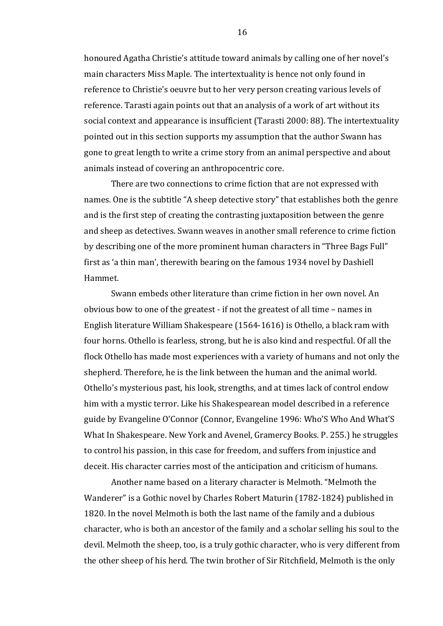honoured Agatha Christie's attitude toward animals by calling one of her novel's main characters Miss Maple. The intertextuality is hence not only found in reference to Christie's oeuvre but to her very person creating various levels of reference. Tarasti again points out that an analysis of a work of art without its social context and appearance is insufficient (Tarasti 2000: 88). The intertextuality pointed out in this section supports my assumption that the author Swann has gone to great length to write a crime story from an animal perspective and about animals instead of covering an anthropocentric core.

There are two connections to crime fiction that are not expressed with names. One is the subtitle "A sheep detective story" that establishes both the genre and is the first step of creating the contrasting juxtaposition between the genre and sheep as detectives. Swann weaves in another small reference to crime fiction by describing one of the more prominent human characters in "Three Bags Full" first as 'a thin man', therewith bearing on the famous 1934 novel by Dashiell Hammet. 

Swann embeds other literature than crime fiction in her own novel. An obvious bow to one of the greatest  $-$  if not the greatest of all time  $-$  names in English literature William Shakespeare (1564-1616) is Othello, a black ram with four horns. Othello is fearless, strong, but he is also kind and respectful. Of all the flock Othello has made most experiences with a variety of humans and not only the shepherd. Therefore, he is the link between the human and the animal world. Othello's mysterious past, his look, strengths, and at times lack of control endow him with a mystic terror. Like his Shakespearean model described in a reference guide by Evangeline O'Connor (Connor, Evangeline 1996: Who'S Who And What'S What In Shakespeare. New York and Avenel, Gramercy Books. P. 255.) he struggles to control his passion, in this case for freedom, and suffers from injustice and deceit. His character carries most of the anticipation and criticism of humans.

Another name based on a literary character is Melmoth. "Melmoth the Wanderer" is a Gothic novel by Charles Robert Maturin (1782-1824) published in 1820. In the novel Melmoth is both the last name of the family and a dubious character, who is both an ancestor of the family and a scholar selling his soul to the devil. Melmoth the sheep, too, is a truly gothic character, who is very different from the other sheep of his herd. The twin brother of Sir Ritchfield, Melmoth is the only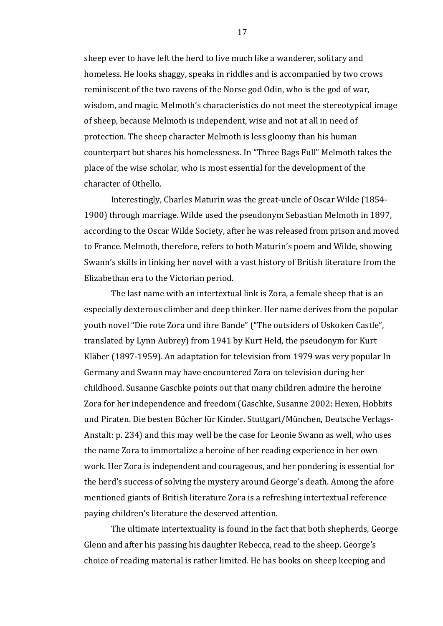sheep ever to have left the herd to live much like a wanderer, solitary and homeless. He looks shaggy, speaks in riddles and is accompanied by two crows reminiscent of the two ravens of the Norse god Odin, who is the god of war, wisdom, and magic. Melmoth's characteristics do not meet the stereotypical image of sheep, because Melmoth is independent, wise and not at all in need of protection. The sheep character Melmoth is less gloomy than his human counterpart but shares his homelessness. In "Three Bags Full" Melmoth takes the place of the wise scholar, who is most essential for the development of the character of Othello.

Interestingly, Charles Maturin was the great-uncle of Oscar Wilde (1854-1900) through marriage. Wilde used the pseudonym Sebastian Melmoth in 1897, according to the Oscar Wilde Society, after he was released from prison and moved to France. Melmoth, therefore, refers to both Maturin's poem and Wilde, showing Swann's skills in linking her novel with a vast history of British literature from the Elizabethan era to the Victorian period.

The last name with an intertextual link is Zora, a female sheep that is an especially dexterous climber and deep thinker. Her name derives from the popular youth novel "Die rote Zora und ihre Bande" ("The outsiders of Uskoken Castle", translated by Lynn Aubrey) from 1941 by Kurt Held, the pseudonym for Kurt Kläber (1897-1959). An adaptation for television from 1979 was very popular In Germany and Swann may have encountered Zora on television during her childhood. Susanne Gaschke points out that many children admire the heroine Zora for her independence and freedom (Gaschke, Susanne 2002: Hexen, Hobbits und Piraten. Die besten Bücher für Kinder. Stuttgart/München, Deutsche Verlags-Anstalt: p. 234) and this may well be the case for Leonie Swann as well, who uses the name Zora to immortalize a heroine of her reading experience in her own work. Her Zora is independent and courageous, and her pondering is essential for the herd's success of solving the mystery around George's death. Among the afore mentioned giants of British literature Zora is a refreshing intertextual reference paying children's literature the deserved attention.

The ultimate intertextuality is found in the fact that both shepherds, George Glenn and after his passing his daughter Rebecca, read to the sheep. George's choice of reading material is rather limited. He has books on sheep keeping and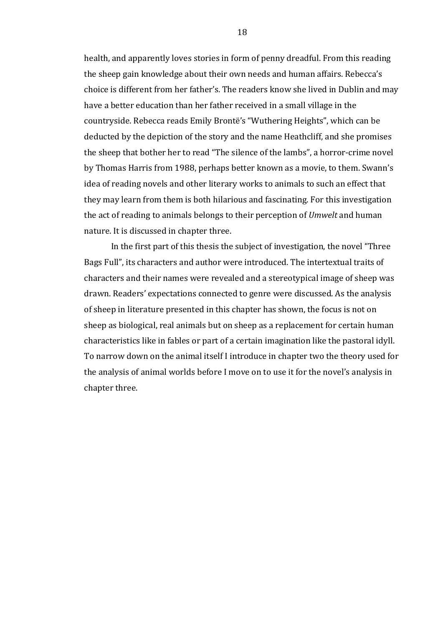health, and apparently loves stories in form of penny dreadful. From this reading the sheep gain knowledge about their own needs and human affairs. Rebecca's choice is different from her father's. The readers know she lived in Dublin and may have a better education than her father received in a small village in the countryside. Rebecca reads Emily Brontë's "Wuthering Heights", which can be deducted by the depiction of the story and the name Heathcliff, and she promises the sheep that bother her to read "The silence of the lambs", a horror-crime novel by Thomas Harris from 1988, perhaps better known as a movie, to them. Swann's idea of reading novels and other literary works to animals to such an effect that they may learn from them is both hilarious and fascinating. For this investigation the act of reading to animals belongs to their perception of *Umwelt* and human nature. It is discussed in chapter three.

In the first part of this thesis the subject of investigation, the novel "Three Bags Full", its characters and author were introduced. The intertextual traits of characters and their names were revealed and a stereotypical image of sheep was drawn. Readers' expectations connected to genre were discussed. As the analysis of sheep in literature presented in this chapter has shown, the focus is not on sheep as biological, real animals but on sheep as a replacement for certain human characteristics like in fables or part of a certain imagination like the pastoral idyll. To narrow down on the animal itself I introduce in chapter two the theory used for the analysis of animal worlds before I move on to use it for the novel's analysis in chapter three.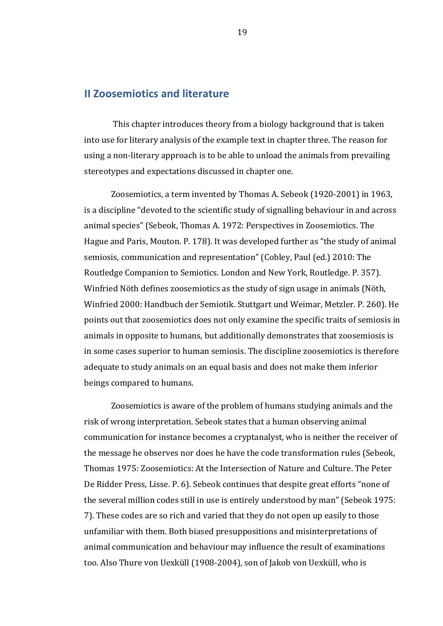# **II Zoosemiotics and literature**

This chapter introduces theory from a biology background that is taken into use for literary analysis of the example text in chapter three. The reason for using a non-literary approach is to be able to unload the animals from prevailing stereotypes and expectations discussed in chapter one.

Zoosemiotics, a term invented by Thomas A. Sebeok (1920-2001) in 1963, is a discipline "devoted to the scientific study of signalling behaviour in and across animal species" (Sebeok, Thomas A. 1972: Perspectives in Zoosemiotics. The Hague and Paris, Mouton. P. 178). It was developed further as "the study of animal semiosis, communication and representation" (Cobley, Paul (ed.) 2010: The Routledge Companion to Semiotics. London and New York, Routledge. P. 357). Winfried Nöth defines zoosemiotics as the study of sign usage in animals (Nöth, Winfried 2000: Handbuch der Semiotik. Stuttgart und Weimar, Metzler. P. 260). He points out that zoosemiotics does not only examine the specific traits of semiosis in animals in opposite to humans, but additionally demonstrates that zoosemiosis is in some cases superior to human semiosis. The discipline zoosemiotics is therefore adequate to study animals on an equal basis and does not make them inferior beings compared to humans.

Zoosemiotics is aware of the problem of humans studying animals and the risk of wrong interpretation. Sebeok states that a human observing animal communication for instance becomes a cryptanalyst, who is neither the receiver of the message he observes nor does he have the code transformation rules (Sebeok, Thomas 1975: Zoosemiotics: At the Intersection of Nature and Culture. The Peter De Ridder Press, Lisse. P. 6). Sebeok continues that despite great efforts "none of the several million codes still in use is entirely understood by man" (Sebeok 1975: 7). These codes are so rich and varied that they do not open up easily to those unfamiliar with them. Both biased presuppositions and misinterpretations of animal communication and behaviour may influence the result of examinations too. Also Thure von Uexküll (1908-2004), son of Jakob von Uexküll, who is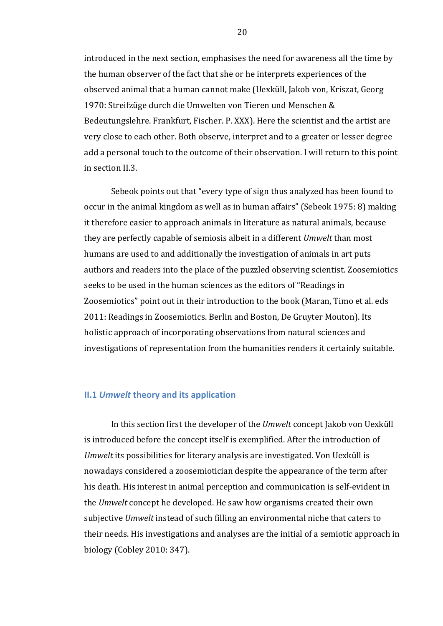introduced in the next section, emphasises the need for awareness all the time by the human observer of the fact that she or he interprets experiences of the observed animal that a human cannot make (Uexküll, Jakob von, Kriszat, Georg 1970: Streifzüge durch die Umwelten von Tieren und Menschen & Bedeutungslehre. Frankfurt, Fischer. P. XXX). Here the scientist and the artist are very close to each other. Both observe, interpret and to a greater or lesser degree add a personal touch to the outcome of their observation. I will return to this point in section II.3.

Sebeok points out that "every type of sign thus analyzed has been found to occur in the animal kingdom as well as in human affairs" (Sebeok 1975: 8) making it therefore easier to approach animals in literature as natural animals, because they are perfectly capable of semiosis albeit in a different *Umwelt* than most humans are used to and additionally the investigation of animals in art puts authors and readers into the place of the puzzled observing scientist. Zoosemiotics seeks to be used in the human sciences as the editors of "Readings in Zoosemiotics" point out in their introduction to the book (Maran, Timo et al. eds 2011: Readings in Zoosemiotics. Berlin and Boston, De Gruyter Mouton). Its holistic approach of incorporating observations from natural sciences and investigations of representation from the humanities renders it certainly suitable.

### **II.1 Umwelt theory and its application**

In this section first the developer of the *Umwelt* concept Jakob von Uexküll is introduced before the concept itself is exemplified. After the introduction of *Umwelt* its possibilities for literary analysis are investigated. Von Uexküll is nowadays considered a zoosemiotician despite the appearance of the term after his death. His interest in animal perception and communication is self-evident in the *Umwelt* concept he developed. He saw how organisms created their own subjective *Umwelt* instead of such filling an environmental niche that caters to their needs. His investigations and analyses are the initial of a semiotic approach in biology (Cobley 2010: 347).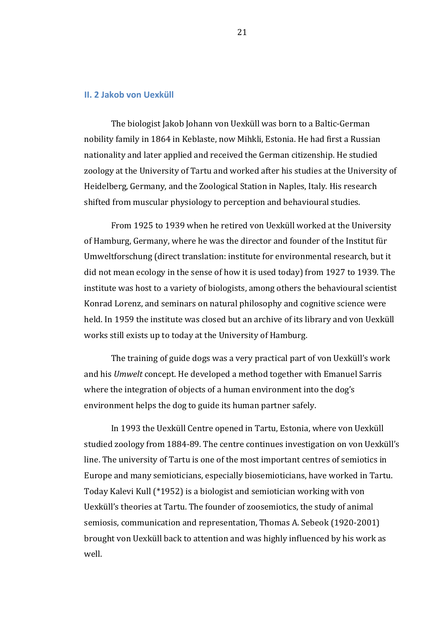### **II. 2 Jakob von Uexküll**

The biologist Jakob Johann von Uexküll was born to a Baltic-German nobility family in 1864 in Keblaste, now Mihkli, Estonia. He had first a Russian nationality and later applied and received the German citizenship. He studied zoology at the University of Tartu and worked after his studies at the University of Heidelberg, Germany, and the Zoological Station in Naples, Italy. His research shifted from muscular physiology to perception and behavioural studies.

From 1925 to 1939 when he retired von Uexküll worked at the University of Hamburg, Germany, where he was the director and founder of the Institut für Umweltforschung (direct translation: institute for environmental research, but it did not mean ecology in the sense of how it is used today) from 1927 to 1939. The institute was host to a variety of biologists, among others the behavioural scientist Konrad Lorenz, and seminars on natural philosophy and cognitive science were held. In 1959 the institute was closed but an archive of its library and von Uexküll works still exists up to today at the University of Hamburg.

The training of guide dogs was a very practical part of von Uexküll's work and his *Umwelt* concept. He developed a method together with Emanuel Sarris where the integration of objects of a human environment into the dog's environment helps the dog to guide its human partner safely.

In 1993 the Uexküll Centre opened in Tartu, Estonia, where von Uexküll studied zoology from 1884-89. The centre continues investigation on yon Uexküll's line. The university of Tartu is one of the most important centres of semiotics in Europe and many semioticians, especially biosemioticians, have worked in Tartu. Today Kalevi Kull (\*1952) is a biologist and semiotician working with von Uexküll's theories at Tartu. The founder of zoosemiotics, the study of animal semiosis, communication and representation, Thomas A. Sebeok (1920-2001) brought von Uexküll back to attention and was highly influenced by his work as well.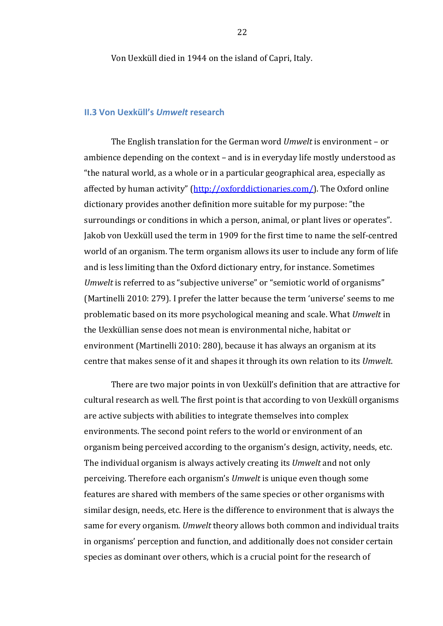Von Uexküll died in 1944 on the island of Capri, Italy.

### **II.3 Von Uexküll's** *Umwelt* **research**

The English translation for the German word *Umwelt* is environment – or ambience depending on the context - and is in everyday life mostly understood as "the natural world, as a whole or in a particular geographical area, especially as affected by human activity" (http://oxforddictionaries.com/). The Oxford online dictionary provides another definition more suitable for my purpose: "the surroundings or conditions in which a person, animal, or plant lives or operates". Jakob von Uexküll used the term in 1909 for the first time to name the self-centred world of an organism. The term organism allows its user to include any form of life and is less limiting than the Oxford dictionary entry, for instance. Sometimes *Umwelt* is referred to as "subjective universe" or "semiotic world of organisms" (Martinelli 2010: 279). I prefer the latter because the term 'universe' seems to me problematic based on its more psychological meaning and scale. What *Umwelt* in the Uexküllian sense does not mean is environmental niche, habitat or environment (Martinelli 2010: 280), because it has always an organism at its centre that makes sense of it and shapes it through its own relation to its *Umwelt*.

There are two major points in von Uexküll's definition that are attractive for cultural research as well. The first point is that according to von Uexküll organisms are active subjects with abilities to integrate themselves into complex environments. The second point refers to the world or environment of an organism being perceived according to the organism's design, activity, needs, etc. The individual organism is always actively creating its *Umwelt* and not only perceiving. Therefore each organism's *Umwelt* is unique even though some features are shared with members of the same species or other organisms with similar design, needs, etc. Here is the difference to environment that is always the same for every organism. *Umwelt* theory allows both common and individual traits in organisms' perception and function, and additionally does not consider certain species as dominant over others, which is a crucial point for the research of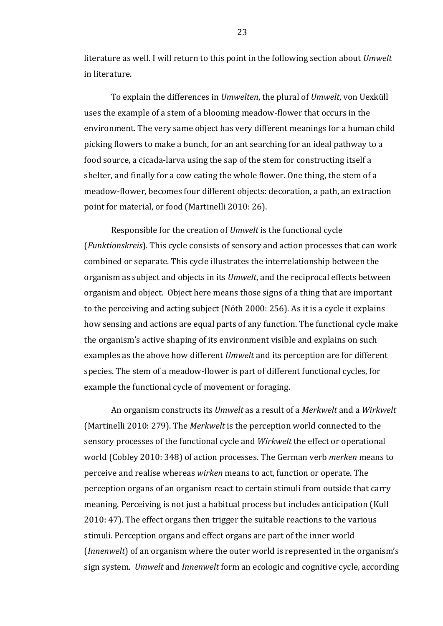literature as well. I will return to this point in the following section about *Umwelt* in literature.

To explain the differences in *Umwelten*, the plural of *Umwelt*, von Uexküll uses the example of a stem of a blooming meadow-flower that occurs in the environment. The very same object has very different meanings for a human child picking flowers to make a bunch, for an ant searching for an ideal pathway to a food source, a cicada-larva using the sap of the stem for constructing itself a shelter, and finally for a cow eating the whole flower. One thing, the stem of a meadow-flower, becomes four different objects: decoration, a path, an extraction point for material, or food (Martinelli 2010: 26).

Responsible for the creation of *Umwelt* is the functional cycle (*Funktionskreis*). This cycle consists of sensory and action processes that can work combined or separate. This cycle illustrates the interrelationship between the organism as subject and objects in its *Umwelt*, and the reciprocal effects between organism and object. Object here means those signs of a thing that are important to the perceiving and acting subject (Nöth 2000: 256). As it is a cycle it explains how sensing and actions are equal parts of any function. The functional cycle make the organism's active shaping of its environment visible and explains on such examples as the above how different *Umwelt* and its perception are for different species. The stem of a meadow-flower is part of different functional cycles, for example the functional cycle of movement or foraging.

An organism constructs its *Umwelt* as a result of a *Merkwelt* and a *Wirkwelt* (Martinelli 2010: 279). The *Merkwelt* is the perception world connected to the sensory processes of the functional cycle and *Wirkwelt* the effect or operational world (Cobley 2010: 348) of action processes. The German verb *merken* means to perceive and realise whereas *wirken* means to act, function or operate. The perception organs of an organism react to certain stimuli from outside that carry meaning. Perceiving is not just a habitual process but includes anticipation (Kull 2010: 47). The effect organs then trigger the suitable reactions to the various stimuli. Perception organs and effect organs are part of the inner world (*Innenwelt*) of an organism where the outer world is represented in the organism's sign system. *Umwelt* and *Innenwelt* form an ecologic and cognitive cycle, according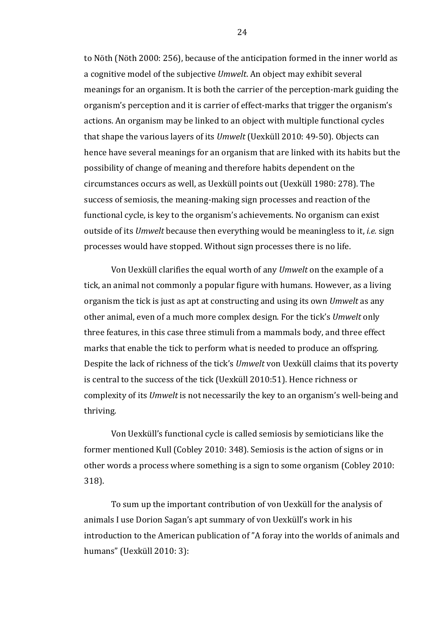to Nöth (Nöth 2000: 256), because of the anticipation formed in the inner world as a cognitive model of the subjective *Umwelt*. An object may exhibit several meanings for an organism. It is both the carrier of the perception-mark guiding the organism's perception and it is carrier of effect-marks that trigger the organism's actions. An organism may be linked to an object with multiple functional cycles that shape the various layers of its *Umwelt* (Uexküll 2010: 49-50). Objects can hence have several meanings for an organism that are linked with its habits but the possibility of change of meaning and therefore habits dependent on the circumstances occurs as well, as Uexküll points out (Uexküll 1980: 278). The success of semiosis, the meaning-making sign processes and reaction of the functional cycle, is key to the organism's achievements. No organism can exist outside of its *Umwelt* because then everything would be meaningless to it, *i.e.* sign processes would have stopped. Without sign processes there is no life.

Von Uexküll clarifies the equal worth of any *Umwelt* on the example of a tick, an animal not commonly a popular figure with humans. However, as a living organism the tick is just as apt at constructing and using its own *Umwelt* as any other animal, even of a much more complex design. For the tick's *Umwelt* only three features, in this case three stimuli from a mammals body, and three effect marks that enable the tick to perform what is needed to produce an offspring. Despite the lack of richness of the tick's *Umwelt* von Uexküll claims that its poverty is central to the success of the tick (Uexküll 2010:51). Hence richness or complexity of its *Umwelt* is not necessarily the key to an organism's well-being and thriving.

Von Uexküll's functional cycle is called semiosis by semioticians like the former mentioned Kull (Cobley 2010: 348). Semiosis is the action of signs or in other words a process where something is a sign to some organism (Cobley 2010: 318). 

To sum up the important contribution of von Uexküll for the analysis of animals I use Dorion Sagan's apt summary of von Uexküll's work in his introduction to the American publication of "A foray into the worlds of animals and humans" (Uexküll 2010: 3):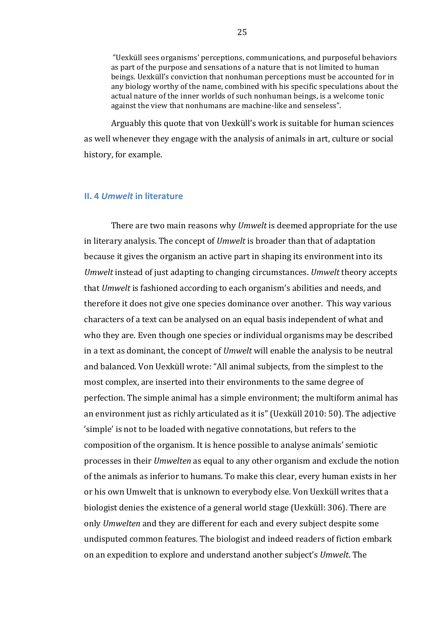"Uexküll sees organisms' perceptions, communications, and purposeful behaviors as part of the purpose and sensations of a nature that is not limited to human beings. Uexküll's conviction that nonhuman perceptions must be accounted for in any biology worthy of the name, combined with his specific speculations about the actual nature of the inner worlds of such nonhuman beings, is a welcome tonic against the view that nonhumans are machine-like and senseless".

Arguably this quote that von Uexküll's work is suitable for human sciences as well whenever they engage with the analysis of animals in art, culture or social history, for example.

### **II.** 4 *Umwelt* in literature

There are two main reasons why *Umwelt* is deemed appropriate for the use in literary analysis. The concept of *Umwelt* is broader than that of adaptation because it gives the organism an active part in shaping its environment into its *Umwelt* instead of just adapting to changing circumstances. *Umwelt* theory accepts that *Umwelt* is fashioned according to each organism's abilities and needs, and therefore it does not give one species dominance over another. This way various characters of a text can be analysed on an equal basis independent of what and who they are. Even though one species or individual organisms may be described in a text as dominant, the concept of *Umwelt* will enable the analysis to be neutral and balanced. Von Uexküll wrote: "All animal subjects, from the simplest to the most complex, are inserted into their environments to the same degree of perfection. The simple animal has a simple environment; the multiform animal has an environment just as richly articulated as it is" (Uexküll 2010: 50). The adjective 'simple' is not to be loaded with negative connotations, but refers to the composition of the organism. It is hence possible to analyse animals' semiotic processes in their *Umwelten* as equal to any other organism and exclude the notion of the animals as inferior to humans. To make this clear, every human exists in her or his own Umwelt that is unknown to everybody else. Von Uexküll writes that a biologist denies the existence of a general world stage (Uexküll: 306). There are only *Umwelten* and they are different for each and every subject despite some undisputed common features. The biologist and indeed readers of fiction embark on an expedition to explore and understand another subject's *Umwelt*. The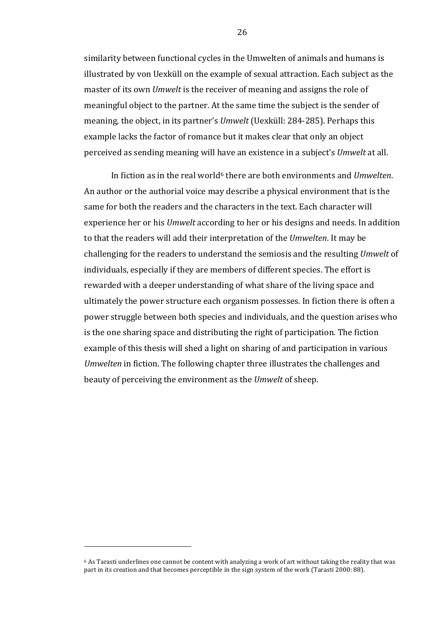similarity between functional cycles in the Umwelten of animals and humans is illustrated by von Uexküll on the example of sexual attraction. Each subject as the master of its own *Umwelt* is the receiver of meaning and assigns the role of meaningful object to the partner. At the same time the subject is the sender of meaning, the object, in its partner's *Umwelt* (Uexküll: 284-285). Perhaps this example lacks the factor of romance but it makes clear that only an object perceived as sending meaning will have an existence in a subject's *Umwelt* at all.

In fiction as in the real world<sup>6</sup> there are both environments and *Umwelten*. An author or the authorial voice may describe a physical environment that is the same for both the readers and the characters in the text. Each character will experience her or his *Umwelt* according to her or his designs and needs. In addition to that the readers will add their interpretation of the *Umwelten*. It may be challenging for the readers to understand the semiosis and the resulting *Umwelt* of individuals, especially if they are members of different species. The effort is rewarded with a deeper understanding of what share of the living space and ultimately the power structure each organism possesses. In fiction there is often a power struggle between both species and individuals, and the question arises who is the one sharing space and distributing the right of participation. The fiction example of this thesis will shed a light on sharing of and participation in various *Umwelten* in fiction. The following chapter three illustrates the challenges and beauty of perceiving the environment as the *Umwelt* of sheep.

 

 $6$  As Tarasti underlines one cannot be content with analyzing a work of art without taking the reality that was part in its creation and that becomes perceptible in the sign system of the work (Tarasti 2000: 88).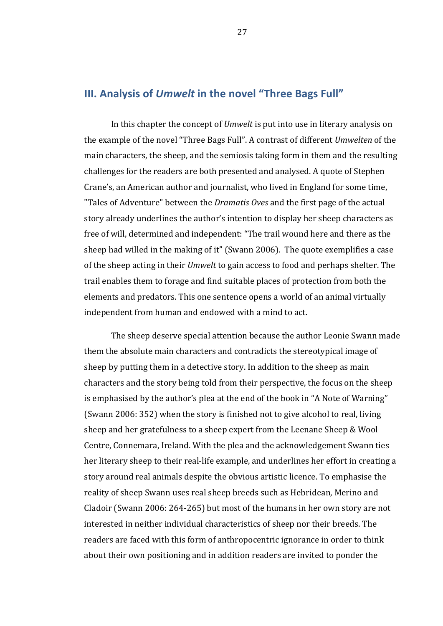# **III. Analysis of Umwelt in the novel "Three Bags Full"**

In this chapter the concept of *Umwelt* is put into use in literary analysis on the example of the novel "Three Bags Full". A contrast of different *Umwelten* of the main characters, the sheep, and the semiosis taking form in them and the resulting challenges for the readers are both presented and analysed. A quote of Stephen Crane's, an American author and journalist, who lived in England for some time, "Tales of Adventure" between the *Dramatis Oves* and the first page of the actual story already underlines the author's intention to display her sheep characters as free of will, determined and independent: "The trail wound here and there as the sheep had willed in the making of it" (Swann 2006). The quote exemplifies a case of the sheep acting in their *Umwelt* to gain access to food and perhaps shelter. The trail enables them to forage and find suitable places of protection from both the elements and predators. This one sentence opens a world of an animal virtually independent from human and endowed with a mind to act.

The sheep deserve special attention because the author Leonie Swann made them the absolute main characters and contradicts the stereotypical image of sheep by putting them in a detective story. In addition to the sheep as main characters and the story being told from their perspective, the focus on the sheep is emphasised by the author's plea at the end of the book in "A Note of Warning" (Swann 2006: 352) when the story is finished not to give alcohol to real, living sheep and her gratefulness to a sheep expert from the Leenane Sheep & Wool Centre, Connemara, Ireland. With the plea and the acknowledgement Swann ties her literary sheep to their real-life example, and underlines her effort in creating a story around real animals despite the obvious artistic licence. To emphasise the reality of sheep Swann uses real sheep breeds such as Hebridean, Merino and Cladoir (Swann 2006: 264-265) but most of the humans in her own story are not interested in neither individual characteristics of sheep nor their breeds. The readers are faced with this form of anthropocentric ignorance in order to think about their own positioning and in addition readers are invited to ponder the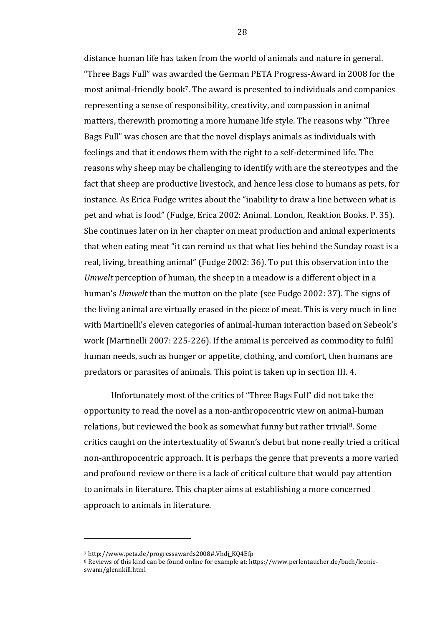distance human life has taken from the world of animals and nature in general. "Three Bags Full" was awarded the German PETA Progress-Award in 2008 for the most animal-friendly book<sup>7</sup>. The award is presented to individuals and companies representing a sense of responsibility, creativity, and compassion in animal matters, therewith promoting a more humane life style. The reasons why "Three Bags Full" was chosen are that the novel displays animals as individuals with feelings and that it endows them with the right to a self-determined life. The reasons why sheep may be challenging to identify with are the stereotypes and the fact that sheep are productive livestock, and hence less close to humans as pets, for instance. As Erica Fudge writes about the "inability to draw a line between what is pet and what is food" (Fudge, Erica 2002: Animal. London, Reaktion Books. P. 35). She continues later on in her chapter on meat production and animal experiments that when eating meat "it can remind us that what lies behind the Sunday roast is a real, living, breathing animal" (Fudge 2002: 36). To put this observation into the *Umwelt* perception of human, the sheep in a meadow is a different object in a human's *Umwelt* than the mutton on the plate (see Fudge 2002: 37). The signs of the living animal are virtually erased in the piece of meat. This is very much in line with Martinelli's eleven categories of animal-human interaction based on Sebeok's work (Martinelli 2007: 225-226). If the animal is perceived as commodity to fulfil human needs, such as hunger or appetite, clothing, and comfort, then humans are predators or parasites of animals. This point is taken up in section III. 4.

Unfortunately most of the critics of "Three Bags Full" did not take the opportunity to read the novel as a non-anthropocentric view on animal-human relations, but reviewed the book as somewhat funny but rather trivial<sup>8</sup>. Some critics caught on the intertextuality of Swann's debut but none really tried a critical non-anthropocentric approach. It is perhaps the genre that prevents a more varied and profound review or there is a lack of critical culture that would pay attention to animals in literature. This chapter aims at establishing a more concerned approach to animals in literature.

 

<sup>7</sup> http://www.peta.de/progressawards2008#.Vhdj\_KQ4Efp

<sup>&</sup>lt;sup>8</sup> Reviews of this kind can be found online for example at: https://www.perlentaucher.de/buch/leonieswann/glennkill.html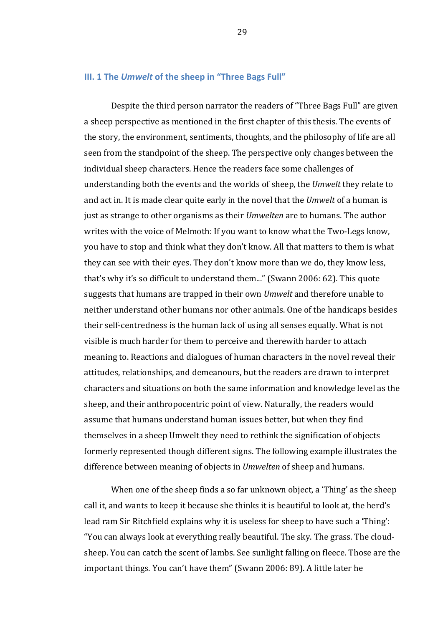### **III. 1 The Umwelt of the sheep in "Three Bags Full"**

Despite the third person narrator the readers of "Three Bags Full" are given a sheep perspective as mentioned in the first chapter of this thesis. The events of the story, the environment, sentiments, thoughts, and the philosophy of life are all seen from the standpoint of the sheep. The perspective only changes between the individual sheep characters. Hence the readers face some challenges of understanding both the events and the worlds of sheep, the *Umwelt* they relate to and act in. It is made clear quite early in the novel that the *Umwelt* of a human is just as strange to other organisms as their *Umwelten* are to humans. The author writes with the voice of Melmoth: If you want to know what the Two-Legs know, you have to stop and think what they don't know. All that matters to them is what they can see with their eyes. They don't know more than we do, they know less, that's why it's so difficult to understand them..." (Swann 2006: 62). This quote suggests that humans are trapped in their own *Umwelt* and therefore unable to neither understand other humans nor other animals. One of the handicaps besides their self-centredness is the human lack of using all senses equally. What is not visible is much harder for them to perceive and therewith harder to attach meaning to. Reactions and dialogues of human characters in the novel reveal their attitudes, relationships, and demeanours, but the readers are drawn to interpret characters and situations on both the same information and knowledge level as the sheep, and their anthropocentric point of view. Naturally, the readers would assume that humans understand human issues better, but when they find themselves in a sheep Umwelt they need to rethink the signification of objects formerly represented though different signs. The following example illustrates the difference between meaning of objects in *Umwelten* of sheep and humans.

When one of the sheep finds a so far unknown object, a 'Thing' as the sheep call it, and wants to keep it because she thinks it is beautiful to look at, the herd's lead ram Sir Ritchfield explains why it is useless for sheep to have such a 'Thing': "You can always look at everything really beautiful. The sky. The grass. The cloudsheep. You can catch the scent of lambs. See sunlight falling on fleece. Those are the important things. You can't have them" (Swann 2006: 89). A little later he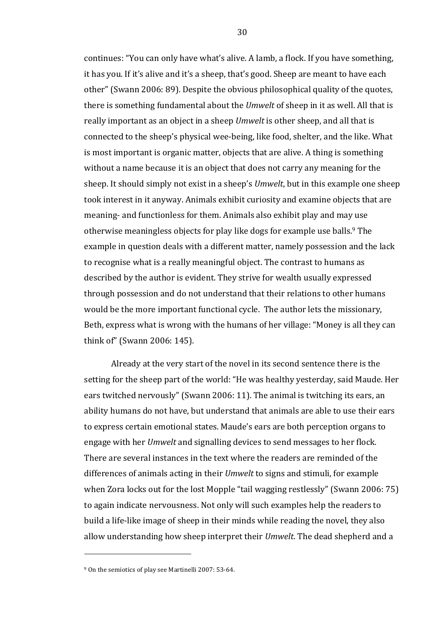continues: "You can only have what's alive. A lamb, a flock. If you have something, it has you. If it's alive and it's a sheep, that's good. Sheep are meant to have each other" (Swann 2006: 89). Despite the obvious philosophical quality of the quotes, there is something fundamental about the *Umwelt* of sheep in it as well. All that is really important as an object in a sheep *Umwelt* is other sheep, and all that is connected to the sheep's physical wee-being, like food, shelter, and the like. What is most important is organic matter, objects that are alive. A thing is something without a name because it is an object that does not carry any meaning for the sheep. It should simply not exist in a sheep's *Umwelt*, but in this example one sheep took interest in it anyway. Animals exhibit curiosity and examine objects that are meaning- and functionless for them. Animals also exhibit play and may use otherwise meaningless objects for play like dogs for example use balls.<sup>9</sup> The example in question deals with a different matter, namely possession and the lack to recognise what is a really meaningful object. The contrast to humans as described by the author is evident. They strive for wealth usually expressed through possession and do not understand that their relations to other humans would be the more important functional cycle. The author lets the missionary, Beth, express what is wrong with the humans of her village: "Money is all they can think of" (Swann 2006: 145).

Already at the very start of the novel in its second sentence there is the setting for the sheep part of the world: "He was healthy yesterday, said Maude. Her ears twitched nervously" (Swann 2006: 11). The animal is twitching its ears, an ability humans do not have, but understand that animals are able to use their ears to express certain emotional states. Maude's ears are both perception organs to engage with her *Umwelt* and signalling devices to send messages to her flock. There are several instances in the text where the readers are reminded of the differences of animals acting in their *Umwelt* to signs and stimuli, for example when Zora locks out for the lost Mopple "tail wagging restlessly" (Swann 2006: 75) to again indicate nervousness. Not only will such examples help the readers to build a life-like image of sheep in their minds while reading the novel, they also allow understanding how sheep interpret their *Umwelt*. The dead shepherd and a

 

<sup>&</sup>lt;sup>9</sup> On the semiotics of play see Martinelli 2007: 53-64.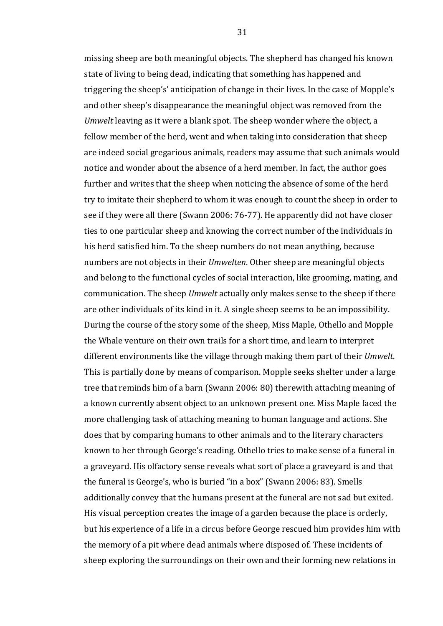missing sheep are both meaningful objects. The shepherd has changed his known state of living to being dead, indicating that something has happened and triggering the sheep's' anticipation of change in their lives. In the case of Mopple's and other sheep's disappearance the meaningful object was removed from the *Umwelt* leaving as it were a blank spot. The sheep wonder where the object, a fellow member of the herd, went and when taking into consideration that sheep are indeed social gregarious animals, readers may assume that such animals would notice and wonder about the absence of a herd member. In fact, the author goes further and writes that the sheep when noticing the absence of some of the herd try to imitate their shepherd to whom it was enough to count the sheep in order to see if they were all there (Swann 2006: 76-77). He apparently did not have closer ties to one particular sheep and knowing the correct number of the individuals in his herd satisfied him. To the sheep numbers do not mean anything, because numbers are not objects in their *Umwelten*. Other sheep are meaningful objects and belong to the functional cycles of social interaction, like grooming, mating, and communication. The sheep *Umwelt* actually only makes sense to the sheep if there are other individuals of its kind in it. A single sheep seems to be an impossibility. During the course of the story some of the sheep, Miss Maple, Othello and Mopple the Whale venture on their own trails for a short time, and learn to interpret different environments like the village through making them part of their *Umwelt*. This is partially done by means of comparison. Mopple seeks shelter under a large tree that reminds him of a barn (Swann 2006: 80) therewith attaching meaning of a known currently absent object to an unknown present one. Miss Maple faced the more challenging task of attaching meaning to human language and actions. She does that by comparing humans to other animals and to the literary characters known to her through George's reading. Othello tries to make sense of a funeral in a graveyard. His olfactory sense reveals what sort of place a graveyard is and that the funeral is George's, who is buried "in a box" (Swann 2006: 83). Smells additionally convey that the humans present at the funeral are not sad but exited. His visual perception creates the image of a garden because the place is orderly, but his experience of a life in a circus before George rescued him provides him with the memory of a pit where dead animals where disposed of. These incidents of sheep exploring the surroundings on their own and their forming new relations in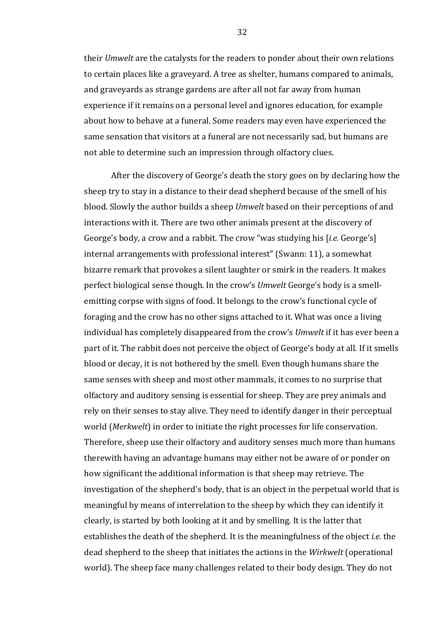their *Umwelt* are the catalysts for the readers to ponder about their own relations to certain places like a graveyard. A tree as shelter, humans compared to animals, and graveyards as strange gardens are after all not far away from human experience if it remains on a personal level and ignores education, for example about how to behave at a funeral. Some readers may even have experienced the same sensation that visitors at a funeral are not necessarily sad, but humans are not able to determine such an impression through olfactory clues.

After the discovery of George's death the story goes on by declaring how the sheep try to stay in a distance to their dead shepherd because of the smell of his blood. Slowly the author builds a sheep *Umwelt* based on their perceptions of and interactions with it. There are two other animals present at the discovery of George's body, a crow and a rabbit. The crow "was studying his [*i.e.* George's] internal arrangements with professional interest" (Swann: 11), a somewhat bizarre remark that provokes a silent laughter or smirk in the readers. It makes perfect biological sense though. In the crow's *Umwelt* George's body is a smellemitting corpse with signs of food. It belongs to the crow's functional cycle of foraging and the crow has no other signs attached to it. What was once a living individual has completely disappeared from the crow's *Umwelt* if it has ever been a part of it. The rabbit does not perceive the object of George's body at all. If it smells blood or decay, it is not bothered by the smell. Even though humans share the same senses with sheep and most other mammals, it comes to no surprise that olfactory and auditory sensing is essential for sheep. They are prey animals and rely on their senses to stay alive. They need to identify danger in their perceptual world (Merkwelt) in order to initiate the right processes for life conservation. Therefore, sheep use their olfactory and auditory senses much more than humans therewith having an advantage humans may either not be aware of or ponder on how significant the additional information is that sheep may retrieve. The investigation of the shepherd's body, that is an object in the perpetual world that is meaningful by means of interrelation to the sheep by which they can identify it clearly, is started by both looking at it and by smelling. It is the latter that establishes the death of the shepherd. It is the meaningfulness of the object *i.e.* the dead shepherd to the sheep that initiates the actions in the *Wirkwelt* (operational world). The sheep face many challenges related to their body design. They do not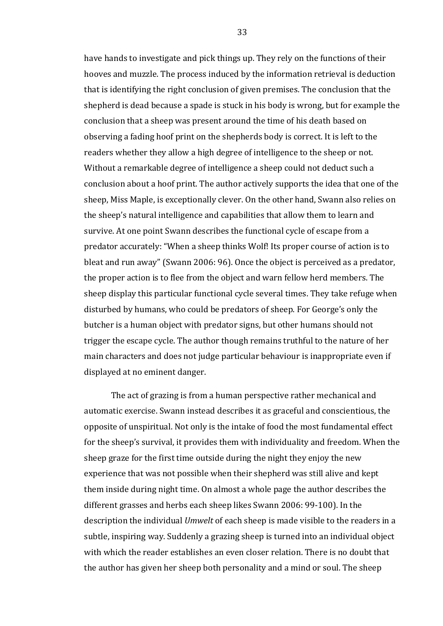have hands to investigate and pick things up. They rely on the functions of their hooves and muzzle. The process induced by the information retrieval is deduction that is identifying the right conclusion of given premises. The conclusion that the shepherd is dead because a spade is stuck in his body is wrong, but for example the conclusion that a sheep was present around the time of his death based on observing a fading hoof print on the shepherds body is correct. It is left to the readers whether they allow a high degree of intelligence to the sheep or not. Without a remarkable degree of intelligence a sheep could not deduct such a conclusion about a hoof print. The author actively supports the idea that one of the sheep, Miss Maple, is exceptionally clever. On the other hand, Swann also relies on the sheep's natural intelligence and capabilities that allow them to learn and survive. At one point Swann describes the functional cycle of escape from a predator accurately: "When a sheep thinks Wolf! Its proper course of action is to bleat and run away" (Swann 2006: 96). Once the object is perceived as a predator, the proper action is to flee from the object and warn fellow herd members. The sheep display this particular functional cycle several times. They take refuge when disturbed by humans, who could be predators of sheep. For George's only the butcher is a human object with predator signs, but other humans should not trigger the escape cycle. The author though remains truthful to the nature of her main characters and does not judge particular behaviour is inappropriate even if displayed at no eminent danger.

The act of grazing is from a human perspective rather mechanical and automatic exercise. Swann instead describes it as graceful and conscientious, the opposite of unspiritual. Not only is the intake of food the most fundamental effect for the sheep's survival, it provides them with individuality and freedom. When the sheep graze for the first time outside during the night they enjoy the new experience that was not possible when their shepherd was still alive and kept them inside during night time. On almost a whole page the author describes the different grasses and herbs each sheep likes Swann 2006: 99-100). In the description the individual *Umwelt* of each sheep is made visible to the readers in a subtle, inspiring way. Suddenly a grazing sheep is turned into an individual object with which the reader establishes an even closer relation. There is no doubt that the author has given her sheep both personality and a mind or soul. The sheep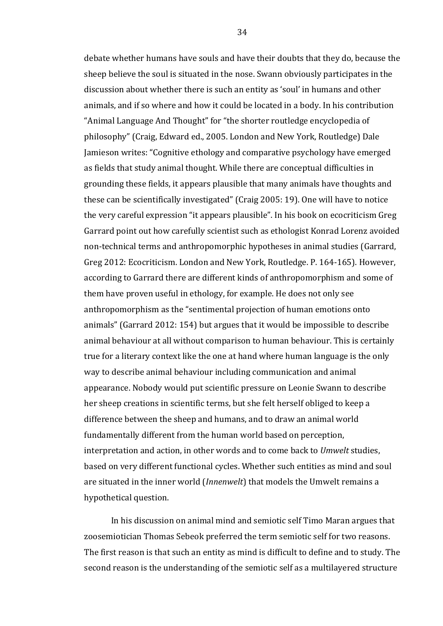debate whether humans have souls and have their doubts that they do, because the sheep believe the soul is situated in the nose. Swann obviously participates in the discussion about whether there is such an entity as 'soul' in humans and other animals, and if so where and how it could be located in a body. In his contribution "Animal Language And Thought" for "the shorter routledge encyclopedia of philosophy" (Craig, Edward ed., 2005. London and New York, Routledge) Dale Jamieson writes: "Cognitive ethology and comparative psychology have emerged as fields that study animal thought. While there are conceptual difficulties in grounding these fields, it appears plausible that many animals have thoughts and these can be scientifically investigated" (Craig 2005: 19). One will have to notice the very careful expression "it appears plausible". In his book on ecocriticism Greg Garrard point out how carefully scientist such as ethologist Konrad Lorenz avoided non-technical terms and anthropomorphic hypotheses in animal studies (Garrard, Greg 2012: Ecocriticism. London and New York, Routledge. P. 164-165). However, according to Garrard there are different kinds of anthropomorphism and some of them have proven useful in ethology, for example. He does not only see anthropomorphism as the "sentimental projection of human emotions onto animals" (Garrard 2012: 154) but argues that it would be impossible to describe animal behaviour at all without comparison to human behaviour. This is certainly true for a literary context like the one at hand where human language is the only way to describe animal behaviour including communication and animal appearance. Nobody would put scientific pressure on Leonie Swann to describe her sheep creations in scientific terms, but she felt herself obliged to keep a difference between the sheep and humans, and to draw an animal world fundamentally different from the human world based on perception, interpretation and action, in other words and to come back to *Umwelt* studies, based on very different functional cycles. Whether such entities as mind and soul are situated in the inner world (*Innenwelt*) that models the Umwelt remains a hypothetical question.

In his discussion on animal mind and semiotic self Timo Maran argues that zoosemiotician Thomas Sebeok preferred the term semiotic self for two reasons. The first reason is that such an entity as mind is difficult to define and to study. The second reason is the understanding of the semiotic self as a multilayered structure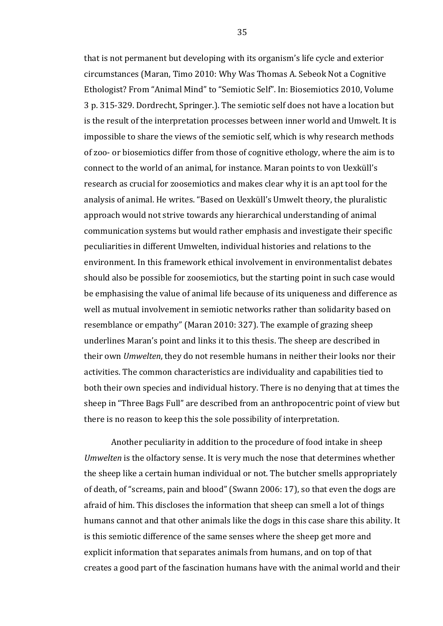that is not permanent but developing with its organism's life cycle and exterior circumstances (Maran, Timo 2010: Why Was Thomas A. Sebeok Not a Cognitive Ethologist? From "Animal Mind" to "Semiotic Self". In: Biosemiotics 2010, Volume 3 p. 315-329. Dordrecht, Springer.). The semiotic self does not have a location but is the result of the interpretation processes between inner world and Umwelt. It is impossible to share the views of the semiotic self, which is why research methods of zoo- or biosemiotics differ from those of cognitive ethology, where the aim is to connect to the world of an animal, for instance. Maran points to von Uexküll's research as crucial for zoosemiotics and makes clear why it is an apt tool for the analysis of animal. He writes. "Based on Uexküll's Umwelt theory, the pluralistic approach would not strive towards any hierarchical understanding of animal communication systems but would rather emphasis and investigate their specific peculiarities in different Umwelten, individual histories and relations to the environment. In this framework ethical involvement in environmentalist debates should also be possible for zoosemiotics, but the starting point in such case would be emphasising the value of animal life because of its uniqueness and difference as well as mutual involvement in semiotic networks rather than solidarity based on resemblance or empathy" (Maran 2010: 327). The example of grazing sheep underlines Maran's point and links it to this thesis. The sheep are described in their own *Umwelten*, they do not resemble humans in neither their looks nor their activities. The common characteristics are individuality and capabilities tied to both their own species and individual history. There is no denying that at times the sheep in "Three Bags Full" are described from an anthropocentric point of view but there is no reason to keep this the sole possibility of interpretation.

Another peculiarity in addition to the procedure of food intake in sheep *Umwelten* is the olfactory sense. It is very much the nose that determines whether the sheep like a certain human individual or not. The butcher smells appropriately of death, of "screams, pain and blood" (Swann 2006: 17), so that even the dogs are afraid of him. This discloses the information that sheep can smell a lot of things humans cannot and that other animals like the dogs in this case share this ability. It is this semiotic difference of the same senses where the sheep get more and explicit information that separates animals from humans, and on top of that creates a good part of the fascination humans have with the animal world and their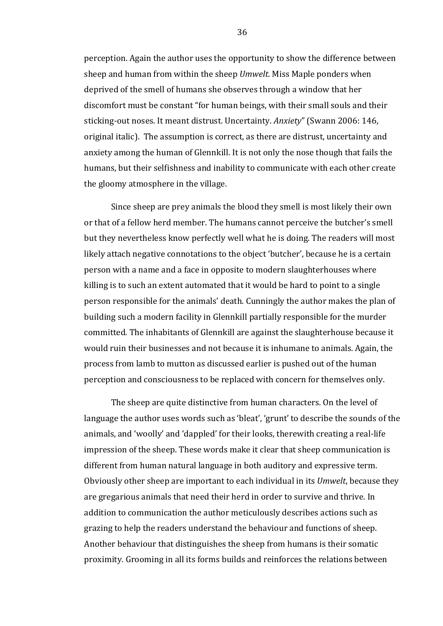perception. Again the author uses the opportunity to show the difference between sheep and human from within the sheep *Umwelt*. Miss Maple ponders when deprived of the smell of humans she observes through a window that her discomfort must be constant "for human beings, with their small souls and their sticking-out noses. It meant distrust. Uncertainty. *Anxiety*" (Swann 2006: 146, original italic). The assumption is correct, as there are distrust, uncertainty and anxiety among the human of Glennkill. It is not only the nose though that fails the humans, but their selfishness and inability to communicate with each other create the gloomy atmosphere in the village.

Since sheep are prey animals the blood they smell is most likely their own or that of a fellow herd member. The humans cannot perceive the butcher's smell but they nevertheless know perfectly well what he is doing. The readers will most likely attach negative connotations to the object 'butcher', because he is a certain person with a name and a face in opposite to modern slaughterhouses where killing is to such an extent automated that it would be hard to point to a single person responsible for the animals' death. Cunningly the author makes the plan of building such a modern facility in Glennkill partially responsible for the murder committed. The inhabitants of Glennkill are against the slaughterhouse because it would ruin their businesses and not because it is inhumane to animals. Again, the process from lamb to mutton as discussed earlier is pushed out of the human perception and consciousness to be replaced with concern for themselves only.

The sheep are quite distinctive from human characters. On the level of language the author uses words such as 'bleat', 'grunt' to describe the sounds of the animals, and 'woolly' and 'dappled' for their looks, therewith creating a real-life impression of the sheep. These words make it clear that sheep communication is different from human natural language in both auditory and expressive term. Obviously other sheep are important to each individual in its *Umwelt*, because they are gregarious animals that need their herd in order to survive and thrive. In addition to communication the author meticulously describes actions such as grazing to help the readers understand the behaviour and functions of sheep. Another behaviour that distinguishes the sheep from humans is their somatic proximity. Grooming in all its forms builds and reinforces the relations between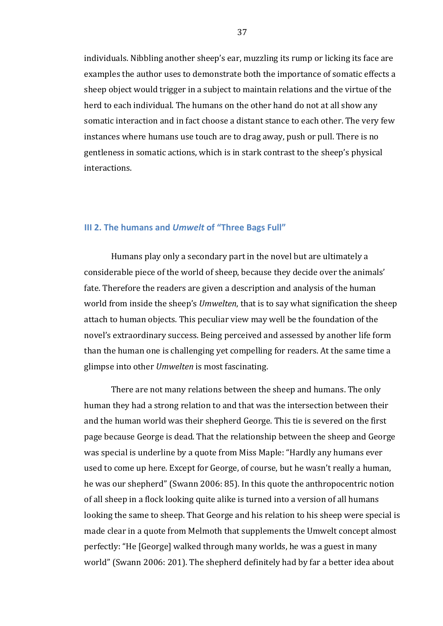individuals. Nibbling another sheep's ear, muzzling its rump or licking its face are examples the author uses to demonstrate both the importance of somatic effects a sheep object would trigger in a subject to maintain relations and the virtue of the herd to each individual. The humans on the other hand do not at all show any somatic interaction and in fact choose a distant stance to each other. The very few instances where humans use touch are to drag away, push or pull. There is no gentleness in somatic actions, which is in stark contrast to the sheep's physical interactions.

#### **III 2. The humans and** *Umwelt* **of "Three Bags Full"**

Humans play only a secondary part in the novel but are ultimately a considerable piece of the world of sheep, because they decide over the animals' fate. Therefore the readers are given a description and analysis of the human world from inside the sheep's *Umwelten*, that is to say what signification the sheep attach to human objects. This peculiar view may well be the foundation of the novel's extraordinary success. Being perceived and assessed by another life form than the human one is challenging yet compelling for readers. At the same time a glimpse into other *Umwelten* is most fascinating.

There are not many relations between the sheep and humans. The only human they had a strong relation to and that was the intersection between their and the human world was their shepherd George. This tie is severed on the first page because George is dead. That the relationship between the sheep and George was special is underline by a quote from Miss Maple: "Hardly any humans ever used to come up here. Except for George, of course, but he wasn't really a human, he was our shepherd" (Swann 2006: 85). In this quote the anthropocentric notion of all sheep in a flock looking quite alike is turned into a version of all humans looking the same to sheep. That George and his relation to his sheep were special is made clear in a quote from Melmoth that supplements the Umwelt concept almost perfectly: "He [George] walked through many worlds, he was a guest in many world" (Swann 2006: 201). The shepherd definitely had by far a better idea about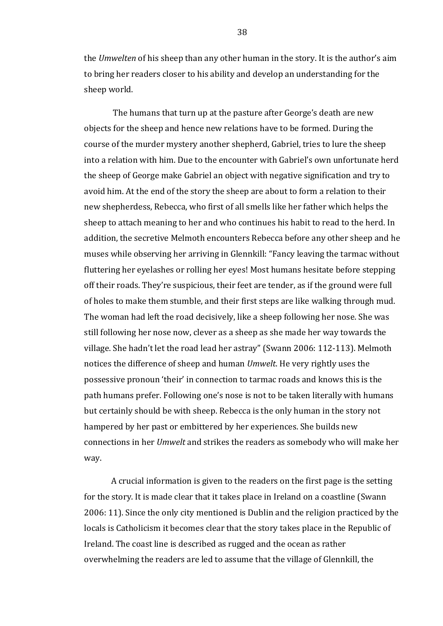the *Umwelten* of his sheep than any other human in the story. It is the author's aim to bring her readers closer to his ability and develop an understanding for the sheep world.

The humans that turn up at the pasture after George's death are new objects for the sheep and hence new relations have to be formed. During the course of the murder mystery another shepherd, Gabriel, tries to lure the sheep into a relation with him. Due to the encounter with Gabriel's own unfortunate herd the sheep of George make Gabriel an object with negative signification and try to avoid him. At the end of the story the sheep are about to form a relation to their new shepherdess, Rebecca, who first of all smells like her father which helps the sheep to attach meaning to her and who continues his habit to read to the herd. In addition, the secretive Melmoth encounters Rebecca before any other sheep and he muses while observing her arriving in Glennkill: "Fancy leaving the tarmac without fluttering her eyelashes or rolling her eyes! Most humans hesitate before stepping off their roads. They're suspicious, their feet are tender, as if the ground were full of holes to make them stumble, and their first steps are like walking through mud. The woman had left the road decisively, like a sheep following her nose. She was still following her nose now, clever as a sheep as she made her way towards the village. She hadn't let the road lead her astray" (Swann 2006: 112-113). Melmoth notices the difference of sheep and human *Umwelt*. He very rightly uses the possessive pronoun 'their' in connection to tarmac roads and knows this is the path humans prefer. Following one's nose is not to be taken literally with humans but certainly should be with sheep. Rebecca is the only human in the story not hampered by her past or embittered by her experiences. She builds new connections in her *Umwelt* and strikes the readers as somebody who will make her way.

A crucial information is given to the readers on the first page is the setting for the story. It is made clear that it takes place in Ireland on a coastline (Swann 2006: 11). Since the only city mentioned is Dublin and the religion practiced by the locals is Catholicism it becomes clear that the story takes place in the Republic of Ireland. The coast line is described as rugged and the ocean as rather overwhelming the readers are led to assume that the village of Glennkill, the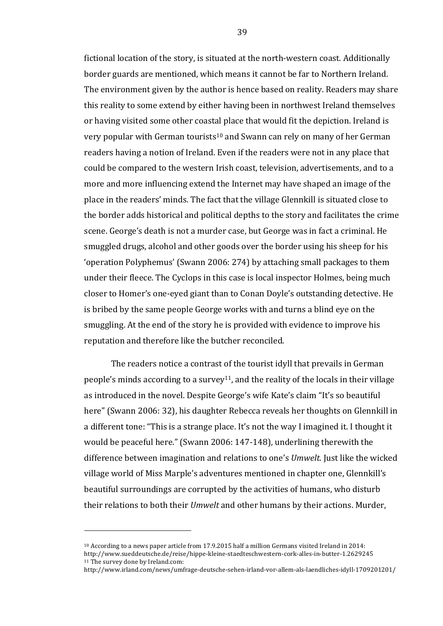fictional location of the story, is situated at the north-western coast. Additionally border guards are mentioned, which means it cannot be far to Northern Ireland. The environment given by the author is hence based on reality. Readers may share this reality to some extend by either having been in northwest Ireland themselves or having visited some other coastal place that would fit the depiction. Ireland is very popular with German tourists<sup>10</sup> and Swann can rely on many of her German readers having a notion of Ireland. Even if the readers were not in any place that could be compared to the western Irish coast, television, advertisements, and to a more and more influencing extend the Internet may have shaped an image of the place in the readers' minds. The fact that the village Glennkill is situated close to the border adds historical and political depths to the story and facilitates the crime scene. George's death is not a murder case, but George was in fact a criminal. He smuggled drugs, alcohol and other goods over the border using his sheep for his 'operation Polyphemus' (Swann 2006: 274) by attaching small packages to them under their fleece. The Cyclops in this case is local inspector Holmes, being much closer to Homer's one-eyed giant than to Conan Doyle's outstanding detective. He is bribed by the same people George works with and turns a blind eye on the smuggling. At the end of the story he is provided with evidence to improve his reputation and therefore like the butcher reconciled.

The readers notice a contrast of the tourist idyll that prevails in German people's minds according to a survey<sup>11</sup>, and the reality of the locals in their village as introduced in the novel. Despite George's wife Kate's claim "It's so beautiful here" (Swann 2006: 32), his daughter Rebecca reveals her thoughts on Glennkill in a different tone: "This is a strange place. It's not the way I imagined it. I thought it would be peaceful here." (Swann 2006: 147-148), underlining therewith the difference between imagination and relations to one's *Umwelt*. Just like the wicked village world of Miss Marple's adventures mentioned in chapter one, Glennkill's beautiful surroundings are corrupted by the activities of humans, who disturb their relations to both their *Umwelt* and other humans by their actions. Murder,

<sup>&</sup>lt;sup>10</sup> According to a news paper article from 17.9.2015 half a million Germans visited Ireland in 2014: http://www.sueddeutsche.de/reise/hippe-kleine-staedteschwestern-cork-alles-in-butter-1.2629245 <sup>11</sup> The survey done by Ireland.com:

http://www.irland.com/news/umfrage-deutsche-sehen-irland-vor-allem-als-laendliches-idyll-1709201201/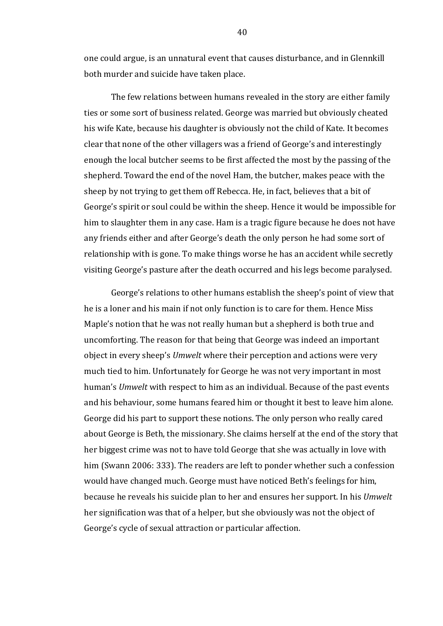one could argue, is an unnatural event that causes disturbance, and in Glennkill both murder and suicide have taken place.

The few relations between humans revealed in the story are either family ties or some sort of business related. George was married but obviously cheated his wife Kate, because his daughter is obviously not the child of Kate. It becomes clear that none of the other villagers was a friend of George's and interestingly enough the local butcher seems to be first affected the most by the passing of the shepherd. Toward the end of the novel Ham, the butcher, makes peace with the sheep by not trying to get them off Rebecca. He, in fact, believes that a bit of George's spirit or soul could be within the sheep. Hence it would be impossible for him to slaughter them in any case. Ham is a tragic figure because he does not have any friends either and after George's death the only person he had some sort of relationship with is gone. To make things worse he has an accident while secretly visiting George's pasture after the death occurred and his legs become paralysed.

George's relations to other humans establish the sheep's point of view that he is a loner and his main if not only function is to care for them. Hence Miss Maple's notion that he was not really human but a shepherd is both true and uncomforting. The reason for that being that George was indeed an important object in every sheep's *Umwelt* where their perception and actions were very much tied to him. Unfortunately for George he was not very important in most human's *Umwelt* with respect to him as an individual. Because of the past events and his behaviour, some humans feared him or thought it best to leave him alone. George did his part to support these notions. The only person who really cared about George is Beth, the missionary. She claims herself at the end of the story that her biggest crime was not to have told George that she was actually in love with him (Swann 2006: 333). The readers are left to ponder whether such a confession would have changed much. George must have noticed Beth's feelings for him, because he reveals his suicide plan to her and ensures her support. In his *Umwelt* her signification was that of a helper, but she obviously was not the object of George's cycle of sexual attraction or particular affection.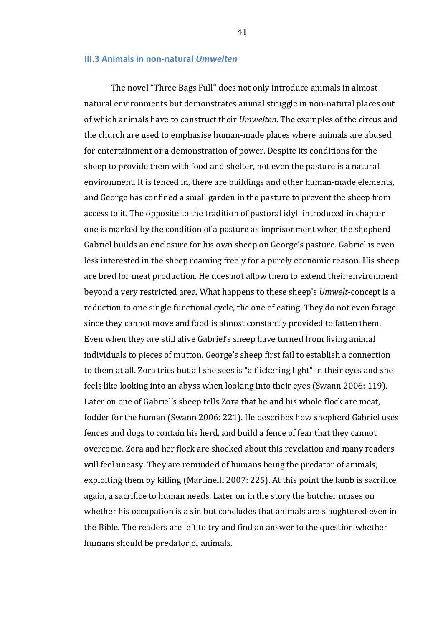#### **III.3 Animals in non-natural** *Umwelten*

The novel "Three Bags Full" does not only introduce animals in almost natural environments but demonstrates animal struggle in non-natural places out of which animals have to construct their *Umwelten*. The examples of the circus and the church are used to emphasise human-made places where animals are abused for entertainment or a demonstration of power. Despite its conditions for the sheep to provide them with food and shelter, not even the pasture is a natural environment. It is fenced in, there are buildings and other human-made elements, and George has confined a small garden in the pasture to prevent the sheep from access to it. The opposite to the tradition of pastoral idyll introduced in chapter one is marked by the condition of a pasture as imprisonment when the shepherd Gabriel builds an enclosure for his own sheep on George's pasture. Gabriel is even less interested in the sheep roaming freely for a purely economic reason. His sheep are bred for meat production. He does not allow them to extend their environment beyond a very restricted area. What happens to these sheep's *Umwelt*-concept is a reduction to one single functional cycle, the one of eating. They do not even forage since they cannot move and food is almost constantly provided to fatten them. Even when they are still alive Gabriel's sheep have turned from living animal individuals to pieces of mutton. George's sheep first fail to establish a connection to them at all. Zora tries but all she sees is "a flickering light" in their eves and she feels like looking into an abyss when looking into their eyes (Swann 2006: 119). Later on one of Gabriel's sheep tells Zora that he and his whole flock are meat, fodder for the human (Swann 2006: 221). He describes how shepherd Gabriel uses fences and dogs to contain his herd, and build a fence of fear that they cannot overcome. Zora and her flock are shocked about this revelation and many readers will feel uneasy. They are reminded of humans being the predator of animals, exploiting them by killing (Martinelli 2007: 225). At this point the lamb is sacrifice again, a sacrifice to human needs. Later on in the story the butcher muses on whether his occupation is a sin but concludes that animals are slaughtered even in the Bible. The readers are left to try and find an answer to the question whether humans should be predator of animals.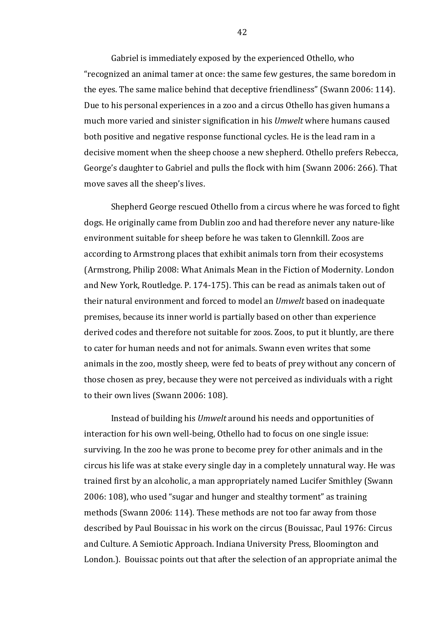Gabriel is immediately exposed by the experienced Othello, who "recognized an animal tamer at once: the same few gestures, the same boredom in the eyes. The same malice behind that deceptive friendliness" (Swann 2006: 114). Due to his personal experiences in a zoo and a circus Othello has given humans a much more varied and sinister signification in his *Umwelt* where humans caused both positive and negative response functional cycles. He is the lead ram in a decisive moment when the sheep choose a new shepherd. Othello prefers Rebecca, George's daughter to Gabriel and pulls the flock with him (Swann 2006: 266). That move saves all the sheep's lives.

Shepherd George rescued Othello from a circus where he was forced to fight dogs. He originally came from Dublin zoo and had therefore never any nature-like environment suitable for sheep before he was taken to Glennkill. Zoos are according to Armstrong places that exhibit animals torn from their ecosystems (Armstrong, Philip 2008: What Animals Mean in the Fiction of Modernity. London and New York, Routledge. P. 174-175). This can be read as animals taken out of their natural environment and forced to model an *Umwelt* based on inadequate premises, because its inner world is partially based on other than experience derived codes and therefore not suitable for zoos. Zoos, to put it bluntly, are there to cater for human needs and not for animals. Swann even writes that some animals in the zoo, mostly sheep, were fed to beats of prey without any concern of those chosen as prey, because they were not perceived as individuals with a right to their own lives (Swann 2006: 108).

Instead of building his *Umwelt* around his needs and opportunities of interaction for his own well-being, Othello had to focus on one single issue: surviving. In the zoo he was prone to become prey for other animals and in the circus his life was at stake every single day in a completely unnatural way. He was trained first by an alcoholic, a man appropriately named Lucifer Smithley (Swann 2006: 108), who used "sugar and hunger and stealthy torment" as training methods (Swann 2006: 114). These methods are not too far away from those described by Paul Bouissac in his work on the circus (Bouissac, Paul 1976: Circus and Culture. A Semiotic Approach. Indiana University Press, Bloomington and London.). Bouissac points out that after the selection of an appropriate animal the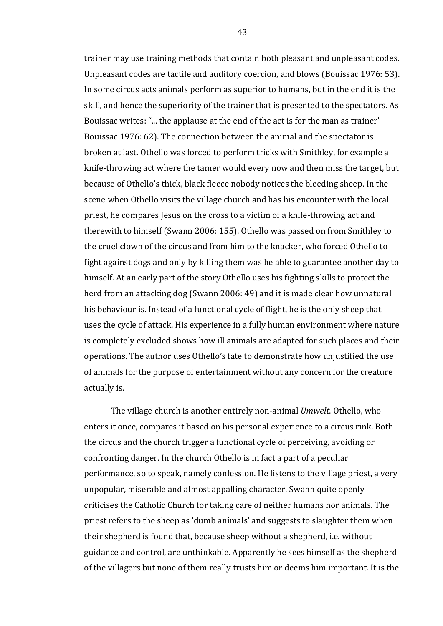trainer may use training methods that contain both pleasant and unpleasant codes. Unpleasant codes are tactile and auditory coercion, and blows (Bouissac 1976: 53). In some circus acts animals perform as superior to humans, but in the end it is the skill, and hence the superiority of the trainer that is presented to the spectators. As Bouissac writes: "... the applause at the end of the act is for the man as trainer" Bouissac 1976: 62). The connection between the animal and the spectator is broken at last. Othello was forced to perform tricks with Smithley, for example a knife-throwing act where the tamer would every now and then miss the target, but because of Othello's thick, black fleece nobody notices the bleeding sheep. In the scene when Othello visits the village church and has his encounter with the local priest, he compares Jesus on the cross to a victim of a knife-throwing act and therewith to himself (Swann 2006: 155). Othello was passed on from Smithley to the cruel clown of the circus and from him to the knacker, who forced Othello to fight against dogs and only by killing them was he able to guarantee another day to himself. At an early part of the story Othello uses his fighting skills to protect the herd from an attacking dog (Swann 2006: 49) and it is made clear how unnatural his behaviour is. Instead of a functional cycle of flight, he is the only sheep that uses the cycle of attack. His experience in a fully human environment where nature is completely excluded shows how ill animals are adapted for such places and their operations. The author uses Othello's fate to demonstrate how unjustified the use of animals for the purpose of entertainment without any concern for the creature actually is.

The village church is another entirely non-animal *Umwelt*. Othello, who enters it once, compares it based on his personal experience to a circus rink. Both the circus and the church trigger a functional cycle of perceiving, avoiding or confronting danger. In the church Othello is in fact a part of a peculiar performance, so to speak, namely confession. He listens to the village priest, a very unpopular, miserable and almost appalling character. Swann quite openly criticises the Catholic Church for taking care of neither humans nor animals. The priest refers to the sheep as 'dumb animals' and suggests to slaughter them when their shepherd is found that, because sheep without a shepherd, i.e. without guidance and control, are unthinkable. Apparently he sees himself as the shepherd of the villagers but none of them really trusts him or deems him important. It is the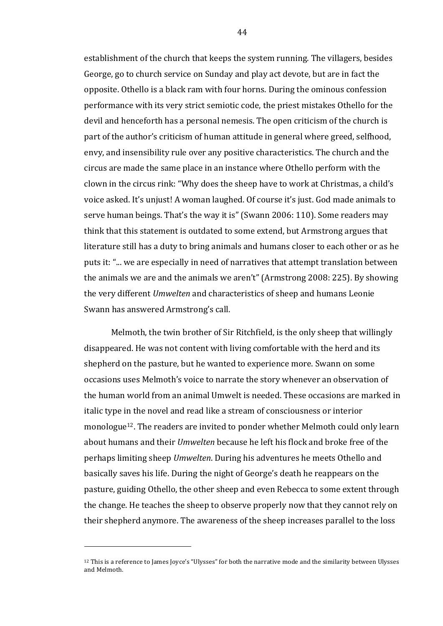establishment of the church that keeps the system running. The villagers, besides George, go to church service on Sunday and play act devote, but are in fact the opposite. Othello is a black ram with four horns. During the ominous confession performance with its very strict semiotic code, the priest mistakes Othello for the devil and henceforth has a personal nemesis. The open criticism of the church is part of the author's criticism of human attitude in general where greed, selfhood, envy, and insensibility rule over any positive characteristics. The church and the circus are made the same place in an instance where Othello perform with the clown in the circus rink: "Why does the sheep have to work at Christmas, a child's voice asked. It's unjust! A woman laughed. Of course it's just. God made animals to serve human beings. That's the way it is" (Swann 2006: 110). Some readers may think that this statement is outdated to some extend, but Armstrong argues that literature still has a duty to bring animals and humans closer to each other or as he puts it: "... we are especially in need of narratives that attempt translation between the animals we are and the animals we aren't" (Armstrong 2008: 225). By showing the very different *Umwelten* and characteristics of sheep and humans Leonie Swann has answered Armstrong's call.

Melmoth, the twin brother of Sir Ritchfield, is the only sheep that willingly disappeared. He was not content with living comfortable with the herd and its shepherd on the pasture, but he wanted to experience more. Swann on some occasions uses Melmoth's voice to narrate the story whenever an observation of the human world from an animal Umwelt is needed. These occasions are marked in italic type in the novel and read like a stream of consciousness or interior monologue<sup>12</sup>. The readers are invited to ponder whether Melmoth could only learn about humans and their *Umwelten* because he left his flock and broke free of the perhaps limiting sheep *Umwelten*. During his adventures he meets Othello and basically saves his life. During the night of George's death he reappears on the pasture, guiding Othello, the other sheep and even Rebecca to some extent through the change. He teaches the sheep to observe properly now that they cannot rely on their shepherd anymore. The awareness of the sheep increases parallel to the loss

 

 $12$  This is a reference to James Joyce's "Ulysses" for both the narrative mode and the similarity between Ulysses and Melmoth.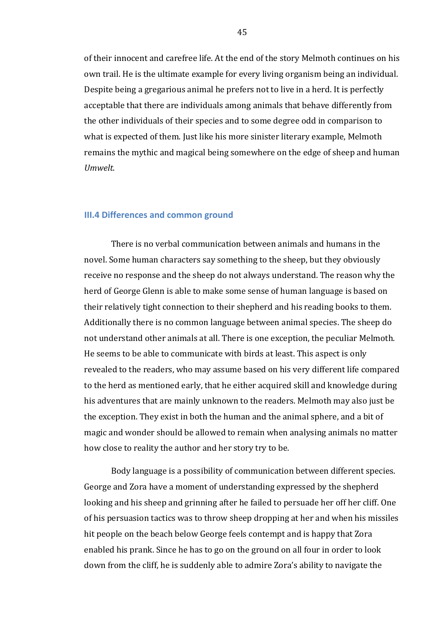of their innocent and carefree life. At the end of the story Melmoth continues on his own trail. He is the ultimate example for every living organism being an individual. Despite being a gregarious animal he prefers not to live in a herd. It is perfectly acceptable that there are individuals among animals that behave differently from the other individuals of their species and to some degree odd in comparison to what is expected of them. Just like his more sinister literary example, Melmoth remains the mythic and magical being somewhere on the edge of sheep and human *Umwelt*.

#### **III.4 Differences and common ground**

There is no verbal communication between animals and humans in the novel. Some human characters say something to the sheep, but they obviously receive no response and the sheep do not always understand. The reason why the herd of George Glenn is able to make some sense of human language is based on their relatively tight connection to their shepherd and his reading books to them. Additionally there is no common language between animal species. The sheep do not understand other animals at all. There is one exception, the peculiar Melmoth. He seems to be able to communicate with birds at least. This aspect is only revealed to the readers, who may assume based on his very different life compared to the herd as mentioned early, that he either acquired skill and knowledge during his adventures that are mainly unknown to the readers. Melmoth may also just be the exception. They exist in both the human and the animal sphere, and a bit of magic and wonder should be allowed to remain when analysing animals no matter how close to reality the author and her story try to be.

Body language is a possibility of communication between different species. George and Zora have a moment of understanding expressed by the shepherd looking and his sheep and grinning after he failed to persuade her off her cliff. One of his persuasion tactics was to throw sheep dropping at her and when his missiles hit people on the beach below George feels contempt and is happy that Zora enabled his prank. Since he has to go on the ground on all four in order to look down from the cliff, he is suddenly able to admire Zora's ability to navigate the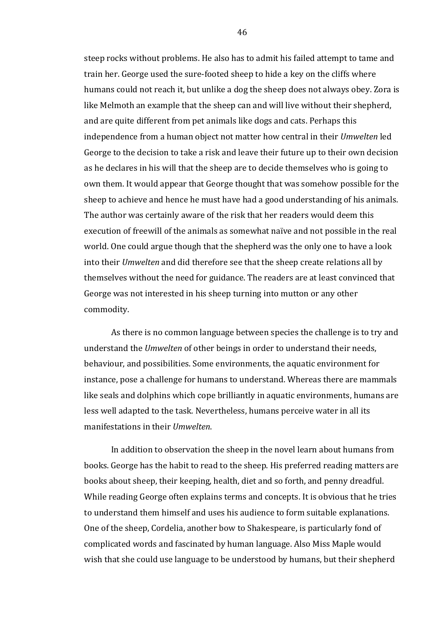steep rocks without problems. He also has to admit his failed attempt to tame and train her. George used the sure-footed sheep to hide a key on the cliffs where humans could not reach it, but unlike a dog the sheep does not always obey. Zora is like Melmoth an example that the sheep can and will live without their shepherd, and are quite different from pet animals like dogs and cats. Perhaps this independence from a human object not matter how central in their *Umwelten* led George to the decision to take a risk and leave their future up to their own decision as he declares in his will that the sheep are to decide themselves who is going to own them. It would appear that George thought that was somehow possible for the sheep to achieve and hence he must have had a good understanding of his animals. The author was certainly aware of the risk that her readers would deem this execution of freewill of the animals as somewhat naïve and not possible in the real world. One could argue though that the shepherd was the only one to have a look into their *Umwelten* and did therefore see that the sheep create relations all by themselves without the need for guidance. The readers are at least convinced that George was not interested in his sheep turning into mutton or any other commodity. 

As there is no common language between species the challenge is to try and understand the *Umwelten* of other beings in order to understand their needs, behaviour, and possibilities. Some environments, the aquatic environment for instance, pose a challenge for humans to understand. Whereas there are mammals like seals and dolphins which cope brilliantly in aquatic environments, humans are less well adapted to the task. Nevertheless, humans perceive water in all its manifestations in their *Umwelten*.

In addition to observation the sheep in the novel learn about humans from books. George has the habit to read to the sheep. His preferred reading matters are books about sheep, their keeping, health, diet and so forth, and penny dreadful. While reading George often explains terms and concepts. It is obvious that he tries to understand them himself and uses his audience to form suitable explanations. One of the sheep, Cordelia, another bow to Shakespeare, is particularly fond of complicated words and fascinated by human language. Also Miss Maple would wish that she could use language to be understood by humans, but their shepherd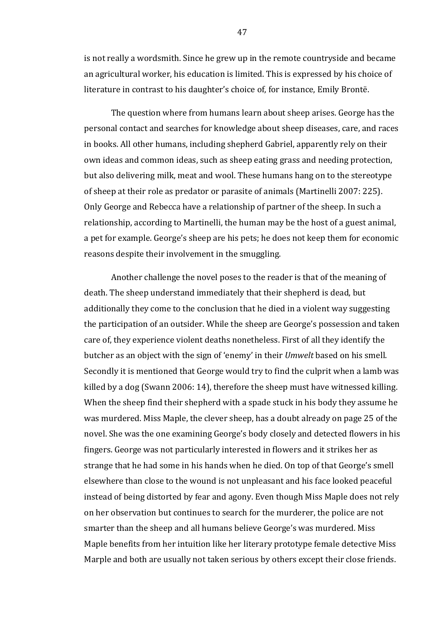is not really a wordsmith. Since he grew up in the remote countryside and became an agricultural worker, his education is limited. This is expressed by his choice of literature in contrast to his daughter's choice of, for instance, Emily Brontë.

The question where from humans learn about sheep arises. George has the personal contact and searches for knowledge about sheep diseases, care, and races in books. All other humans, including shepherd Gabriel, apparently rely on their own ideas and common ideas, such as sheep eating grass and needing protection, but also delivering milk, meat and wool. These humans hang on to the stereotype of sheep at their role as predator or parasite of animals (Martinelli 2007: 225). Only George and Rebecca have a relationship of partner of the sheep. In such a relationship, according to Martinelli, the human may be the host of a guest animal, a pet for example. George's sheep are his pets; he does not keep them for economic reasons despite their involvement in the smuggling.

Another challenge the novel poses to the reader is that of the meaning of death. The sheep understand immediately that their shepherd is dead, but additionally they come to the conclusion that he died in a violent way suggesting the participation of an outsider. While the sheep are George's possession and taken care of, they experience violent deaths nonetheless. First of all they identify the butcher as an object with the sign of 'enemy' in their *Umwelt* based on his smell. Secondly it is mentioned that George would try to find the culprit when a lamb was killed by a dog (Swann 2006: 14), therefore the sheep must have witnessed killing. When the sheep find their shepherd with a spade stuck in his body they assume he was murdered. Miss Maple, the clever sheep, has a doubt already on page 25 of the novel. She was the one examining George's body closely and detected flowers in his fingers. George was not particularly interested in flowers and it strikes her as strange that he had some in his hands when he died. On top of that George's smell elsewhere than close to the wound is not unpleasant and his face looked peaceful instead of being distorted by fear and agony. Even though Miss Maple does not rely on her observation but continues to search for the murderer, the police are not smarter than the sheep and all humans believe George's was murdered. Miss Maple benefits from her intuition like her literary prototype female detective Miss Marple and both are usually not taken serious by others except their close friends.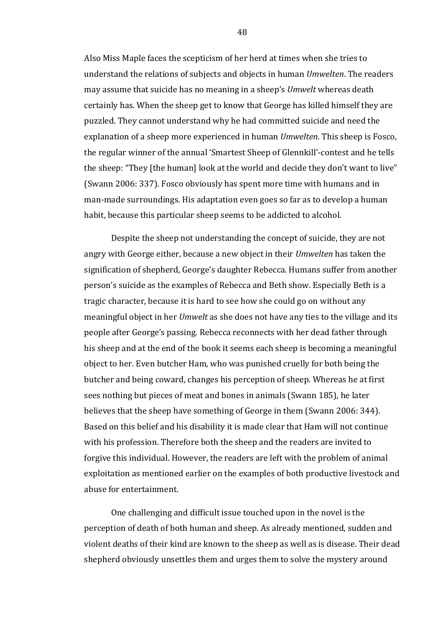Also Miss Maple faces the scepticism of her herd at times when she tries to understand the relations of subjects and objects in human *Umwelten*. The readers may assume that suicide has no meaning in a sheep's *Umwelt* whereas death certainly has. When the sheep get to know that George has killed himself they are puzzled. They cannot understand why he had committed suicide and need the explanation of a sheep more experienced in human *Umwelten*. This sheep is Fosco, the regular winner of the annual 'Smartest Sheep of Glennkill'-contest and he tells the sheep: "They [the human] look at the world and decide they don't want to live" (Swann 2006: 337). Fosco obviously has spent more time with humans and in man-made surroundings. His adaptation even goes so far as to develop a human habit, because this particular sheep seems to be addicted to alcohol.

Despite the sheep not understanding the concept of suicide, they are not angry with George either, because a new object in their *Umwelten* has taken the signification of shepherd, George's daughter Rebecca. Humans suffer from another person's suicide as the examples of Rebecca and Beth show. Especially Beth is a tragic character, because it is hard to see how she could go on without any meaningful object in her *Umwelt* as she does not have any ties to the village and its people after George's passing. Rebecca reconnects with her dead father through his sheep and at the end of the book it seems each sheep is becoming a meaningful object to her. Even butcher Ham, who was punished cruelly for both being the butcher and being coward, changes his perception of sheep. Whereas he at first sees nothing but pieces of meat and bones in animals (Swann 185), he later believes that the sheep have something of George in them (Swann 2006: 344). Based on this belief and his disability it is made clear that Ham will not continue with his profession. Therefore both the sheep and the readers are invited to forgive this individual. However, the readers are left with the problem of animal exploitation as mentioned earlier on the examples of both productive livestock and abuse for entertainment.

One challenging and difficult issue touched upon in the novel is the perception of death of both human and sheep. As already mentioned, sudden and violent deaths of their kind are known to the sheep as well as is disease. Their dead shepherd obviously unsettles them and urges them to solve the mystery around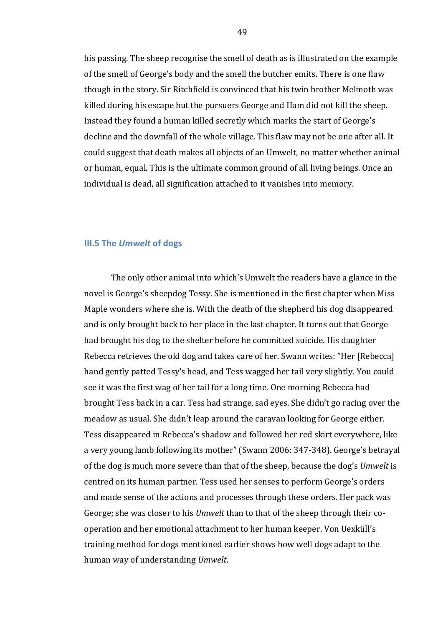his passing. The sheep recognise the smell of death as is illustrated on the example of the smell of George's body and the smell the butcher emits. There is one flaw though in the story. Sir Ritchfield is convinced that his twin brother Melmoth was killed during his escape but the pursuers George and Ham did not kill the sheep. Instead they found a human killed secretly which marks the start of George's decline and the downfall of the whole village. This flaw may not be one after all. It could suggest that death makes all objects of an Umwelt, no matter whether animal or human, equal. This is the ultimate common ground of all living beings. Once an individual is dead, all signification attached to it vanishes into memory.

## **III.5** The *Umwelt* of dogs

The only other animal into which's Umwelt the readers have a glance in the novel is George's sheepdog Tessy. She is mentioned in the first chapter when Miss Maple wonders where she is. With the death of the shepherd his dog disappeared and is only brought back to her place in the last chapter. It turns out that George had brought his dog to the shelter before he committed suicide. His daughter Rebecca retrieves the old dog and takes care of her. Swann writes: "Her [Rebecca] hand gently patted Tessy's head, and Tess wagged her tail very slightly. You could see it was the first wag of her tail for a long time. One morning Rebecca had brought Tess back in a car. Tess had strange, sad eyes. She didn't go racing over the meadow as usual. She didn't leap around the caravan looking for George either. Tess disappeared in Rebecca's shadow and followed her red skirt everywhere, like a very young lamb following its mother" (Swann 2006: 347-348). George's betrayal of the dog is much more severe than that of the sheep, because the dog's *Umwelt* is centred on its human partner. Tess used her senses to perform George's orders and made sense of the actions and processes through these orders. Her pack was George; she was closer to his *Umwelt* than to that of the sheep through their cooperation and her emotional attachment to her human keeper. Von Uexküll's training method for dogs mentioned earlier shows how well dogs adapt to the human way of understanding *Umwelt*.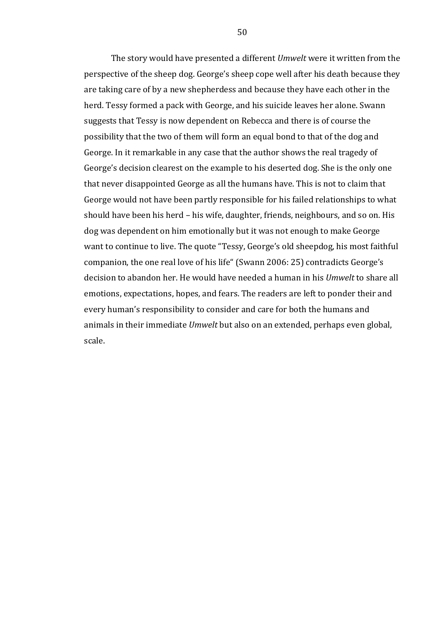The story would have presented a different *Umwelt* were it written from the perspective of the sheep dog. George's sheep cope well after his death because they are taking care of by a new shepherdess and because they have each other in the herd. Tessy formed a pack with George, and his suicide leaves her alone. Swann suggests that Tessy is now dependent on Rebecca and there is of course the possibility that the two of them will form an equal bond to that of the dog and George. In it remarkable in any case that the author shows the real tragedy of George's decision clearest on the example to his deserted dog. She is the only one that never disappointed George as all the humans have. This is not to claim that George would not have been partly responsible for his failed relationships to what should have been his herd – his wife, daughter, friends, neighbours, and so on. His dog was dependent on him emotionally but it was not enough to make George want to continue to live. The quote "Tessy, George's old sheepdog, his most faithful companion, the one real love of his life" (Swann 2006: 25) contradicts George's decision to abandon her. He would have needed a human in his *Umwelt* to share all emotions, expectations, hopes, and fears. The readers are left to ponder their and every human's responsibility to consider and care for both the humans and animals in their immediate *Umwelt* but also on an extended, perhaps even global, scale.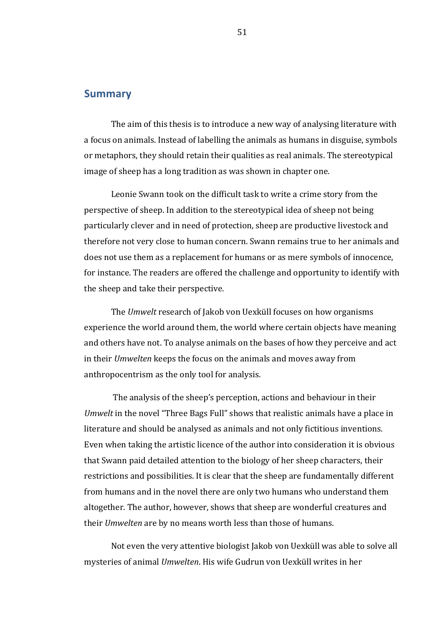# **Summary**

The aim of this thesis is to introduce a new way of analysing literature with a focus on animals. Instead of labelling the animals as humans in disguise, symbols or metaphors, they should retain their qualities as real animals. The stereotypical image of sheep has a long tradition as was shown in chapter one.

Leonie Swann took on the difficult task to write a crime story from the perspective of sheep. In addition to the stereotypical idea of sheep not being particularly clever and in need of protection, sheep are productive livestock and therefore not very close to human concern. Swann remains true to her animals and does not use them as a replacement for humans or as mere symbols of innocence, for instance. The readers are offered the challenge and opportunity to identify with the sheep and take their perspective.

The *Umwelt* research of Jakob von Uexküll focuses on how organisms experience the world around them, the world where certain objects have meaning and others have not. To analyse animals on the bases of how they perceive and act in their *Umwelten* keeps the focus on the animals and moves away from anthropocentrism as the only tool for analysis.

The analysis of the sheep's perception, actions and behaviour in their *Umwelt* in the novel "Three Bags Full" shows that realistic animals have a place in literature and should be analysed as animals and not only fictitious inventions. Even when taking the artistic licence of the author into consideration it is obvious that Swann paid detailed attention to the biology of her sheep characters, their restrictions and possibilities. It is clear that the sheep are fundamentally different from humans and in the novel there are only two humans who understand them altogether. The author, however, shows that sheep are wonderful creatures and their *Umwelten* are by no means worth less than those of humans.

Not even the very attentive biologist Jakob von Uexküll was able to solve all mysteries of animal *Umwelten*. His wife Gudrun von Uexküll writes in her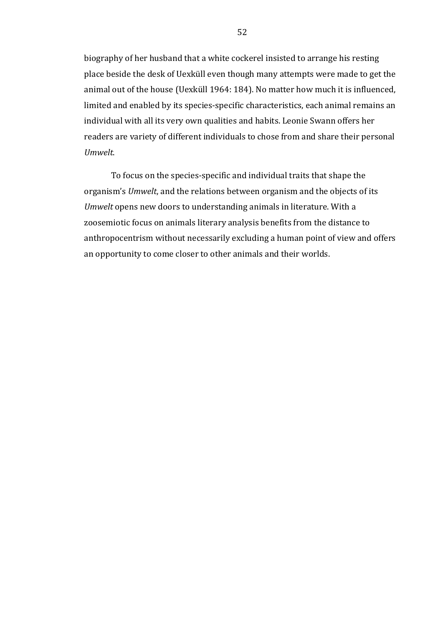biography of her husband that a white cockerel insisted to arrange his resting place beside the desk of Uexküll even though many attempts were made to get the animal out of the house (Uexküll 1964: 184). No matter how much it is influenced, limited and enabled by its species-specific characteristics, each animal remains an individual with all its very own qualities and habits. Leonie Swann offers her readers are variety of different individuals to chose from and share their personal *Umwelt*. 

To focus on the species-specific and individual traits that shape the organism's *Umwelt*, and the relations between organism and the objects of its *Umwelt* opens new doors to understanding animals in literature. With a zoosemiotic focus on animals literary analysis benefits from the distance to anthropocentrism without necessarily excluding a human point of view and offers an opportunity to come closer to other animals and their worlds.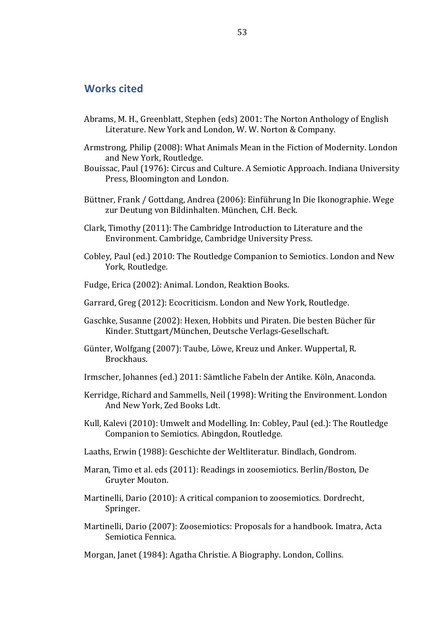# **Works cited**

- Abrams, M. H., Greenblatt, Stephen (eds) 2001: The Norton Anthology of English Literature. New York and London, W. W. Norton & Company.
- Armstrong, Philip (2008): What Animals Mean in the Fiction of Modernity. London and New York, Routledge.
- Bouissac, Paul (1976): Circus and Culture. A Semiotic Approach. Indiana University Press, Bloomington and London.
- Büttner, Frank / Gottdang, Andrea (2006): Einführung In Die Ikonographie. Wege zur Deutung von Bildinhalten. München, C.H. Beck.
- Clark, Timothy (2011): The Cambridge Introduction to Literature and the Environment. Cambridge, Cambridge University Press.
- Cobley, Paul (ed.) 2010: The Routledge Companion to Semiotics. London and New York, Routledge.
- Fudge, Erica (2002): Animal. London, Reaktion Books.
- Garrard, Greg (2012): Ecocriticism. London and New York, Routledge.
- Gaschke, Susanne (2002): Hexen, Hobbits und Piraten. Die besten Bücher für Kinder. Stuttgart/München, Deutsche Verlags-Gesellschaft.
- Günter, Wolfgang (2007): Taube, Löwe, Kreuz und Anker. Wuppertal, R. Brockhaus.
- Irmscher, Johannes (ed.) 2011: Sämtliche Fabeln der Antike. Köln, Anaconda.
- Kerridge, Richard and Sammells, Neil (1998): Writing the Environment. London And New York, Zed Books Ldt.
- Kull, Kalevi (2010): Umwelt and Modelling. In: Cobley, Paul (ed.): The Routledge Companion to Semiotics. Abingdon, Routledge.
- Laaths, Erwin (1988): Geschichte der Weltliteratur. Bindlach, Gondrom.
- Maran, Timo et al. eds (2011): Readings in zoosemiotics. Berlin/Boston, De Gruyter Mouton.
- Martinelli, Dario (2010): A critical companion to zoosemiotics. Dordrecht, Springer.
- Martinelli, Dario (2007): Zoosemiotics: Proposals for a handbook. Imatra, Acta Semiotica Fennica.

Morgan, Janet (1984): Agatha Christie. A Biography. London, Collins.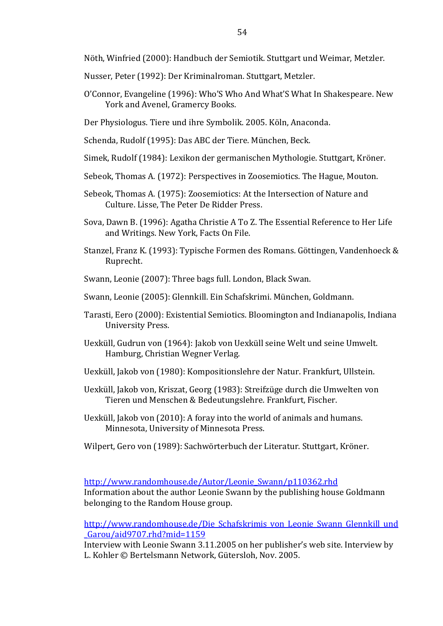Nöth, Winfried (2000): Handbuch der Semiotik. Stuttgart und Weimar, Metzler.

- Nusser, Peter (1992): Der Kriminalroman. Stuttgart, Metzler.
- O'Connor, Evangeline (1996): Who'S Who And What'S What In Shakespeare. New York and Avenel, Gramercy Books.

Der Physiologus. Tiere und ihre Symbolik. 2005. Köln, Anaconda.

Schenda, Rudolf (1995): Das ABC der Tiere. München, Beck.

- Simek, Rudolf (1984): Lexikon der germanischen Mythologie. Stuttgart, Kröner.
- Sebeok, Thomas A. (1972): Perspectives in Zoosemiotics. The Hague, Mouton.
- Sebeok, Thomas A. (1975): Zoosemiotics: At the Intersection of Nature and Culture. Lisse, The Peter De Ridder Press.
- Sova, Dawn B. (1996): Agatha Christie A To Z. The Essential Reference to Her Life and Writings. New York, Facts On File.
- Stanzel, Franz K. (1993): Typische Formen des Romans. Göttingen, Vandenhoeck & Ruprecht.
- Swann, Leonie (2007): Three bags full. London, Black Swan.
- Swann, Leonie (2005): Glennkill. Ein Schafskrimi. München, Goldmann.
- Tarasti, Eero (2000): Existential Semiotics. Bloomington and Indianapolis, Indiana University Press.
- Uexküll, Gudrun von (1964): Jakob von Uexküll seine Welt und seine Umwelt. Hamburg, Christian Wegner Verlag.
- Uexküll, Jakob von (1980): Kompositionslehre der Natur. Frankfurt, Ullstein.
- Uexküll, Jakob von, Kriszat, Georg (1983): Streifzüge durch die Umwelten von Tieren und Menschen & Bedeutungslehre. Frankfurt, Fischer.
- Uexküll, Jakob von (2010): A foray into the world of animals and humans. Minnesota, University of Minnesota Press.
- Wilpert, Gero von (1989): Sachwörterbuch der Literatur. Stuttgart, Kröner.

#### http://www.randomhouse.de/Autor/Leonie Swann/p110362.rhd

Information about the author Leonie Swann by the publishing house Goldmann belonging to the Random House group.

http://www.randomhouse.de/Die Schafskrimis von Leonie Swann Glennkill und \_Garou/aid9707.rhd?mid=1159

Interview with Leonie Swann 3.11.2005 on her publisher's web site. Interview by L. Kohler © Bertelsmann Network, Gütersloh, Nov. 2005.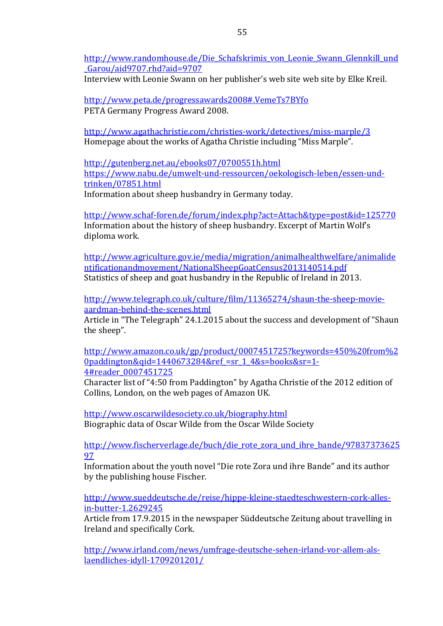http://www.randomhouse.de/Die Schafskrimis von Leonie Swann Glennkill und \_Garou/aid9707.rhd?aid=9707

Interview with Leonie Swann on her publisher's web site web site by Elke Kreil.

http://www.peta.de/progressawards2008#.VemeTs7BYfo PETA Germany Progress Award 2008.

http://www.agathachristie.com/christies-work/detectives/miss-marple/3 Homepage about the works of Agatha Christie including "Miss Marple".

http://gutenberg.net.au/ebooks07/0700551h.html https://www.nabu.de/umwelt-und-ressourcen/oekologisch-leben/essen-undtrinken/07851.html Information about sheep husbandry in Germany today.

http://www.schaf-foren.de/forum/index.php?act=Attach&type=post&id=125770 Information about the history of sheep husbandry. Excerpt of Martin Wolf's diploma work.

http://www.agriculture.gov.ie/media/migration/animalhealthwelfare/animalide ntificationandmovement/NationalSheepGoatCensus2013140514.pdf Statistics of sheep and goat husbandry in the Republic of Ireland in 2013.

http://www.telegraph.co.uk/culture/film/11365274/shaun-the-sheep-movieaardman-behind-the-scenes.html

Article in "The Telegraph" 24.1.2015 about the success and development of "Shaun the sheep".

http://www.amazon.co.uk/gp/product/0007451725?keywords=450%20from%2 0paddington&qid=1440673284&ref =sr\_1\_4&s=books&sr=1-4#reader\_0007451725

Character list of "4:50 from Paddington" by Agatha Christie of the 2012 edition of Collins, London, on the web pages of Amazon UK.

http://www.oscarwildesociety.co.uk/biography.html Biographic data of Oscar Wilde from the Oscar Wilde Society

http://www.fischerverlage.de/buch/die\_rote\_zora\_und\_ihre\_bande/97837373625 97

Information about the youth novel "Die rote Zora und ihre Bande" and its author by the publishing house Fischer.

http://www.sueddeutsche.de/reise/hippe-kleine-staedteschwestern-cork-allesin-butter-1.2629245

Article from 17.9.2015 in the newspaper Süddeutsche Zeitung about travelling in Ireland and specifically Cork.

http://www.irland.com/news/umfrage-deutsche-sehen-irland-vor-allem-alslaendliches-idyll-1709201201/